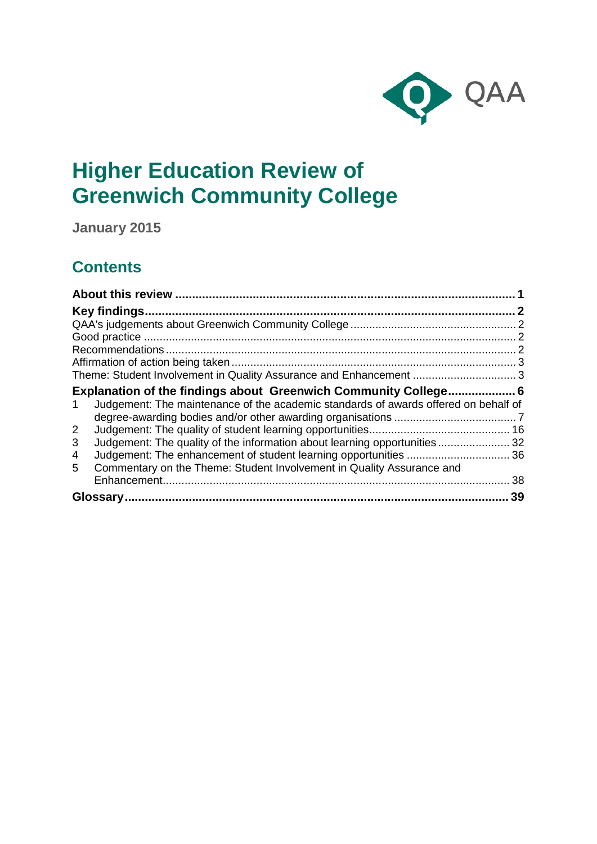

# **Higher Education Review of Greenwich Community College**

**January 2015**

## **Contents**

| Theme: Student Involvement in Quality Assurance and Enhancement  3                       |    |
|------------------------------------------------------------------------------------------|----|
| Explanation of the findings about Greenwich Community College 6                          |    |
| Judgement: The maintenance of the academic standards of awards offered on behalf of<br>1 |    |
|                                                                                          |    |
| $\overline{2}$                                                                           |    |
| Judgement: The quality of the information about learning opportunities 32<br>3           |    |
| 4                                                                                        |    |
| Commentary on the Theme: Student Involvement in Quality Assurance and<br>5.              |    |
|                                                                                          | 38 |
|                                                                                          | 39 |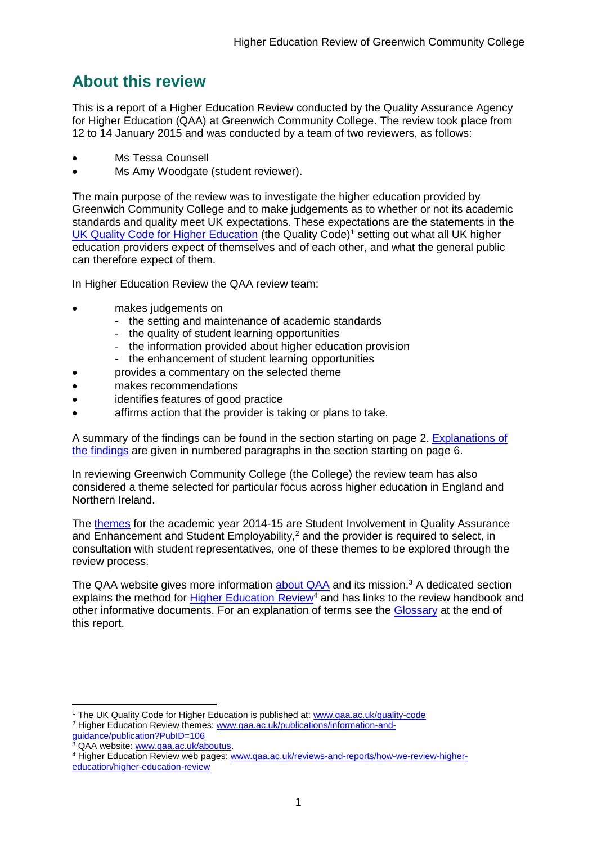## <span id="page-1-0"></span>**About this review**

This is a report of a Higher Education Review conducted by the Quality Assurance Agency for Higher Education (QAA) at Greenwich Community College. The review took place from 12 to 14 January 2015 and was conducted by a team of two reviewers, as follows:

- Ms Tessa Counsell
- Ms Amy Woodgate (student reviewer).

The main purpose of the review was to investigate the higher education provided by Greenwich Community College and to make judgements as to whether or not its academic standards and quality meet UK expectations. These expectations are the statements in the [UK Quality Code for Higher Education](http://www.qaa.ac.uk/assuring-standards-and-quality/the-quality-code) (the Quality Code)<sup>1</sup> setting out what all UK higher [education providers](http://newlive.qaa.ac.uk/AboutUs/glossary/Pages/glossary-h.aspx#h2.1) expect of themselves and of each other, and what the general public can therefore expect of them.

In Higher Education Review the QAA review team:

- makes judgements on
	- the setting and maintenance of academic standards
	- the quality of student learning opportunities
	- the information provided about higher education provision
	- the enhancement of student learning opportunities
- provides a commentary on the selected theme
- makes recommendations
- identifies features of good practice
- affirms action that the provider is taking or plans to take.

A summary of the findings can be found in the section starting on page 2. [Explanations of](#page-6-0)  [the findings](#page-6-0) are given in numbered paragraphs in the section starting on page 6.

In reviewing Greenwich Community College (the College) the review team has also considered a theme selected for particular focus across higher education in England and Northern Ireland.

The [themes](http://www.qaa.ac.uk/publications/information-and-guidance/publication?PubID=106) for the academic year 2014-15 are Student Involvement in Quality Assurance and  $\overline{\text{Enhancement}}$  and Student Employability,<sup>2</sup> and the provider is required to select, in consultation with student representatives, one of these themes to be explored through the review process.

The QAA website gives more information [about QAA](http://www.qaa.ac.uk/aboutus/pages/default.aspx) and its mission.<sup>3</sup> A dedicated section explains the method for [Higher Education](http://www.qaa.ac.uk/reviews-and-reports/how-we-review-higher-education/higher-education-review) Review<sup>4</sup> and has links to the review handbook and other informative documents. For an explanation of terms see the [Glossary](#page-38-1) at the end of this report.

-<sup>1</sup> The UK Quality Code for Higher Education is published at: [www.qaa.ac.uk/quality-code](http://www.qaa.ac.uk/quality-code) <sup>2</sup> Higher Education Review themes: [www.qaa.ac.uk/publications/information-and-](http://www.qaa.ac.uk/publications/information-and-guidance/publication?PubID=106)

[guidance/publication?PubID=106](http://www.qaa.ac.uk/publications/information-and-guidance/publication?PubID=106) <sup>3</sup> QAA website: [www.qaa.ac.uk/aboutus.](http://www.qaa.ac.uk/aboutus/pages/default.aspx)

<sup>4</sup> Higher Education Review web pages: [www.qaa.ac.uk/reviews-and-reports/how-we-review-higher](http://www.qaa.ac.uk/reviews-and-reports/how-we-review-higher-education/higher-education-review)[education/higher-education-review](http://www.qaa.ac.uk/reviews-and-reports/how-we-review-higher-education/higher-education-review)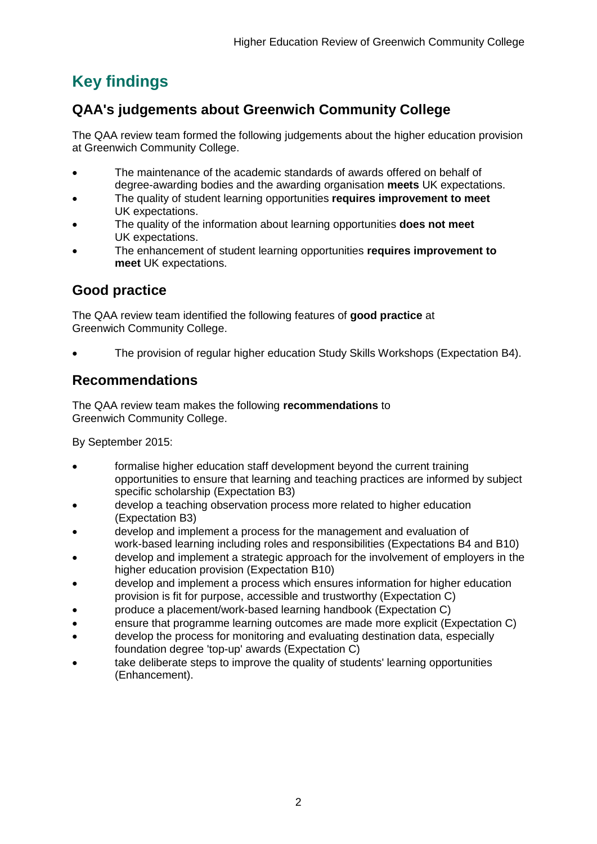## <span id="page-2-0"></span>**Key findings**

## <span id="page-2-1"></span>**QAA's judgements about Greenwich Community College**

The QAA review team formed the following judgements about the higher education provision at Greenwich Community College.

- The maintenance of the academic standards of awards offered on behalf of degree-awarding bodies and the awarding organisation **meets** UK expectations.
- The quality of student learning opportunities **requires improvement to meet** UK expectations.
- The quality of the information about learning opportunities **does not meet**  UK expectations.
- The enhancement of student learning opportunities **requires improvement to meet** UK expectations.

## <span id="page-2-2"></span>**Good practice**

The QAA review team identified the following features of **good practice** at Greenwich Community College.

The provision of regular higher education Study Skills Workshops (Expectation B4).

## <span id="page-2-3"></span>**Recommendations**

The QAA review team makes the following **recommendations** to Greenwich Community College.

By September 2015:

- formalise higher education staff development beyond the current training opportunities to ensure that learning and teaching practices are informed by subject specific scholarship (Expectation B3)
- develop a teaching observation process more related to higher education (Expectation B3)
- develop and implement a process for the management and evaluation of work-based learning including roles and responsibilities (Expectations B4 and B10)
- develop and implement a strategic approach for the involvement of employers in the higher education provision (Expectation B10)
- develop and implement a process which ensures information for higher education provision is fit for purpose, accessible and trustworthy (Expectation C)
- produce a placement/work-based learning handbook (Expectation C)
- ensure that programme learning outcomes are made more explicit (Expectation C)
- develop the process for monitoring and evaluating destination data, especially foundation degree 'top-up' awards (Expectation C)
- take deliberate steps to improve the quality of students' learning opportunities (Enhancement).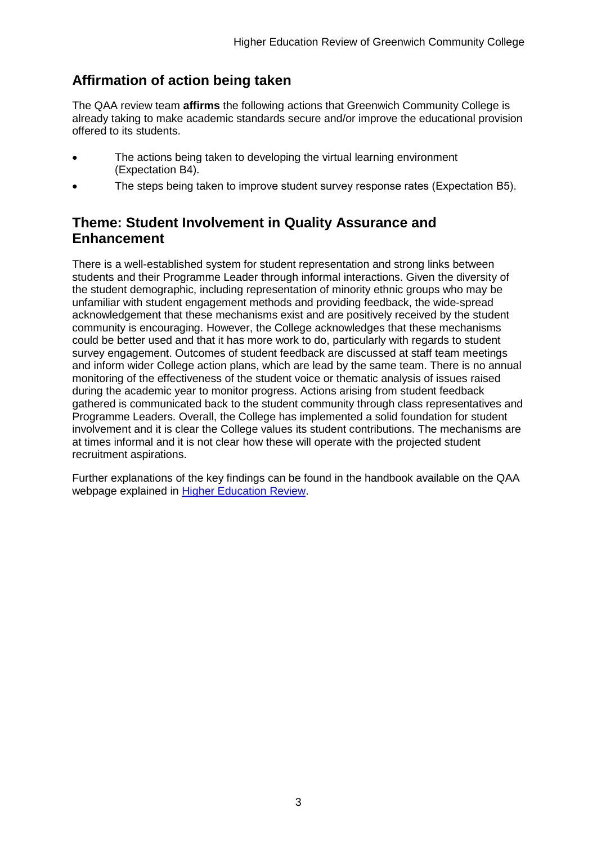## <span id="page-3-0"></span>**Affirmation of action being taken**

The QAA review team **affirms** the following actions that Greenwich Community College is already taking to make academic standards secure and/or improve the educational provision offered to its students.

- The actions being taken to developing the virtual learning environment (Expectation B4).
- The steps being taken to improve student survey response rates (Expectation B5).

## <span id="page-3-1"></span>**Theme: Student Involvement in Quality Assurance and Enhancement**

There is a well-established system for student representation and strong links between students and their Programme Leader through informal interactions. Given the diversity of the student demographic, including representation of minority ethnic groups who may be unfamiliar with student engagement methods and providing feedback, the wide-spread acknowledgement that these mechanisms exist and are positively received by the student community is encouraging. However, the College acknowledges that these mechanisms could be better used and that it has more work to do, particularly with regards to student survey engagement. Outcomes of student feedback are discussed at staff team meetings and inform wider College action plans, which are lead by the same team. There is no annual monitoring of the effectiveness of the student voice or thematic analysis of issues raised during the academic year to monitor progress. Actions arising from student feedback gathered is communicated back to the student community through class representatives and Programme Leaders. Overall, the College has implemented a solid foundation for student involvement and it is clear the College values its student contributions. The mechanisms are at times informal and it is not clear how these will operate with the projected student recruitment aspirations.

Further explanations of the key findings can be found in the handbook available on the QAA webpage explained in [Higher Education Review.](http://www.qaa.ac.uk/reviews-and-reports/how-we-review-higher-education/higher-education-review)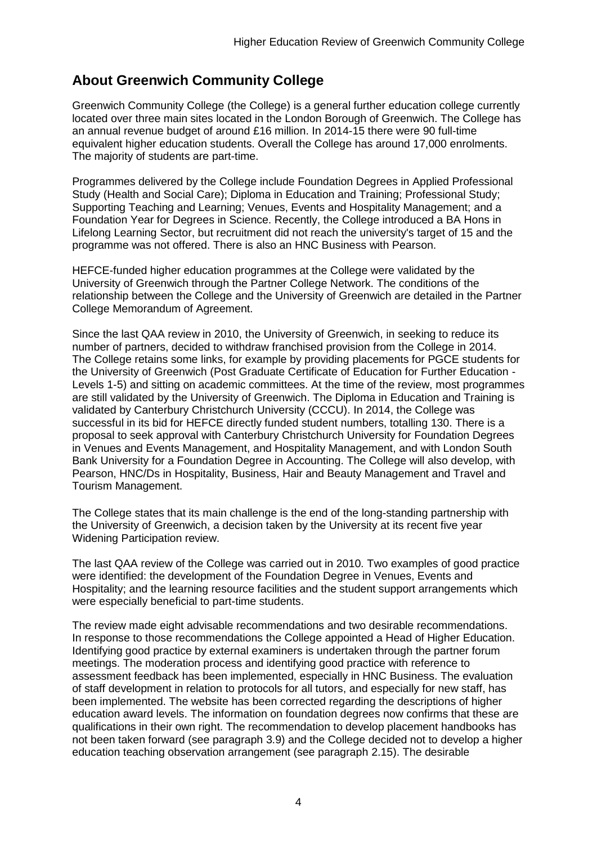## **About Greenwich Community College**

Greenwich Community College (the College) is a general further education college currently located over three main sites located in the London Borough of Greenwich. The College has an annual revenue budget of around £16 million. In 2014-15 there were 90 full-time equivalent higher education students. Overall the College has around 17,000 enrolments. The majority of students are part-time.

Programmes delivered by the College include Foundation Degrees in Applied Professional Study (Health and Social Care); Diploma in Education and Training; Professional Study; Supporting Teaching and Learning; Venues, Events and Hospitality Management; and a Foundation Year for Degrees in Science. Recently, the College introduced a BA Hons in Lifelong Learning Sector, but recruitment did not reach the university's target of 15 and the programme was not offered. There is also an HNC Business with Pearson.

HEFCE-funded higher education programmes at the College were validated by the University of Greenwich through the Partner College Network. The conditions of the relationship between the College and the University of Greenwich are detailed in the Partner College Memorandum of Agreement.

Since the last QAA review in 2010, the University of Greenwich, in seeking to reduce its number of partners, decided to withdraw franchised provision from the College in 2014. The College retains some links, for example by providing placements for PGCE students for the University of Greenwich (Post Graduate Certificate of Education for Further Education - Levels 1-5) and sitting on academic committees. At the time of the review, most programmes are still validated by the University of Greenwich. The Diploma in Education and Training is validated by Canterbury Christchurch University (CCCU). In 2014, the College was successful in its bid for HEFCE directly funded student numbers, totalling 130. There is a proposal to seek approval with Canterbury Christchurch University for Foundation Degrees in Venues and Events Management, and Hospitality Management, and with London South Bank University for a Foundation Degree in Accounting. The College will also develop, with Pearson, HNC/Ds in Hospitality, Business, Hair and Beauty Management and Travel and Tourism Management.

The College states that its main challenge is the end of the long-standing partnership with the University of Greenwich, a decision taken by the University at its recent five year Widening Participation review.

The last QAA review of the College was carried out in 2010. Two examples of good practice were identified: the development of the Foundation Degree in Venues, Events and Hospitality; and the learning resource facilities and the student support arrangements which were especially beneficial to part-time students.

The review made eight advisable recommendations and two desirable recommendations. In response to those recommendations the College appointed a Head of Higher Education. Identifying good practice by external examiners is undertaken through the partner forum meetings. The moderation process and identifying good practice with reference to assessment feedback has been implemented, especially in HNC Business. The evaluation of staff development in relation to protocols for all tutors, and especially for new staff, has been implemented. The website has been corrected regarding the descriptions of higher education award levels. The information on foundation degrees now confirms that these are qualifications in their own right. The recommendation to develop placement handbooks has not been taken forward (see paragraph 3.9) and the College decided not to develop a higher education teaching observation arrangement (see paragraph 2.15). The desirable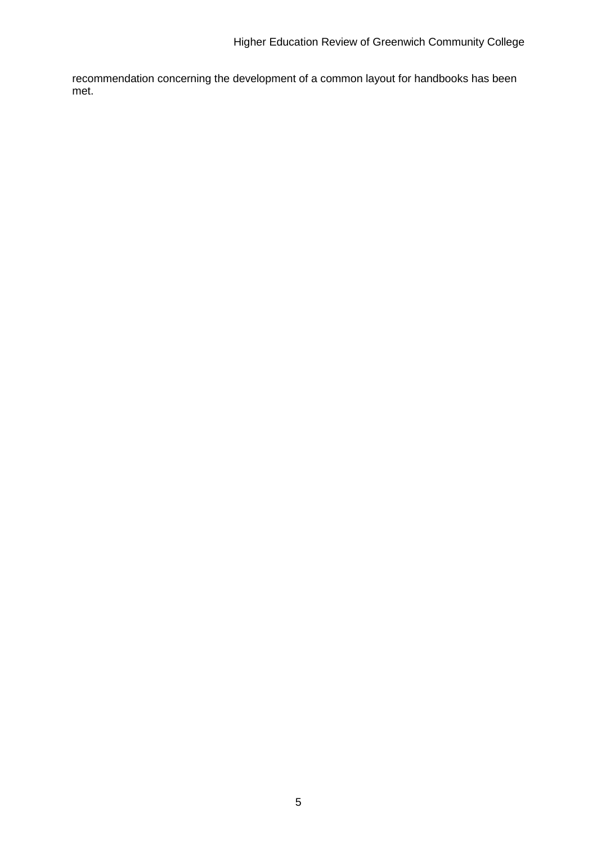recommendation concerning the development of a common layout for handbooks has been met.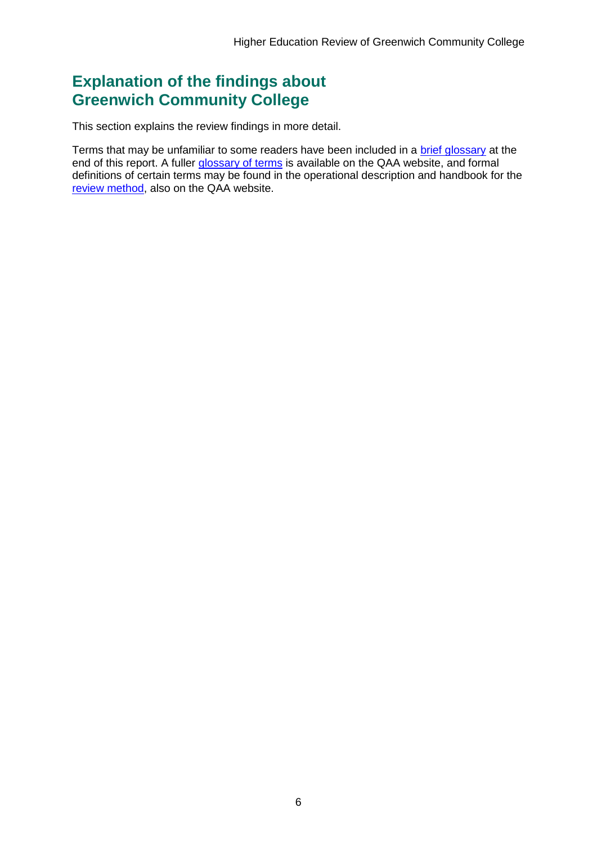## <span id="page-6-0"></span>**Explanation of the findings about Greenwich Community College**

This section explains the review findings in more detail.

Terms that may be unfamiliar to some readers have been included in a [brief glossary](#page-38-1) at the end of this report. A fuller [glossary of terms](http://www.qaa.ac.uk/Pages/GlossaryEN.aspx) is available on the QAA website, and formal definitions of certain terms may be found in the operational description and handbook for the [review method,](http://www.qaa.ac.uk/reviews-and-reports/how-we-review-higher-education/higher-education-review) also on the QAA website.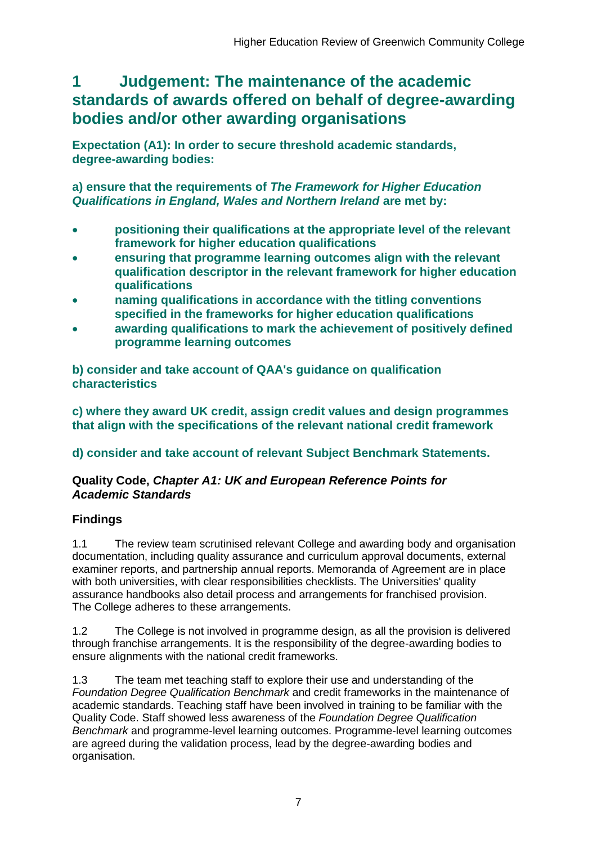## <span id="page-7-0"></span>**1 Judgement: The maintenance of the academic standards of awards offered on behalf of degree-awarding bodies and/or other awarding organisations**

**Expectation (A1): In order to secure threshold academic standards, degree-awarding bodies:** 

**a) ensure that the requirements of** *The Framework for Higher Education Qualifications in England, Wales and Northern Ireland* **are met by:**

- **positioning their qualifications at the appropriate level of the relevant framework for higher education qualifications**
- **ensuring that programme learning outcomes align with the relevant qualification descriptor in the relevant framework for higher education qualifications**
- **naming qualifications in accordance with the titling conventions specified in the frameworks for higher education qualifications**
- **awarding qualifications to mark the achievement of positively defined programme learning outcomes**

**b) consider and take account of QAA's guidance on qualification characteristics** 

**c) where they award UK credit, assign credit values and design programmes that align with the specifications of the relevant national credit framework** 

## **d) consider and take account of relevant Subject Benchmark Statements.**

### **Quality Code,** *Chapter A1: UK and European Reference Points for Academic Standards*

## **Findings**

1.1 The review team scrutinised relevant College and awarding body and organisation documentation, including quality assurance and curriculum approval documents, external examiner reports, and partnership annual reports. Memoranda of Agreement are in place with both universities, with clear responsibilities checklists. The Universities' quality assurance handbooks also detail process and arrangements for franchised provision. The College adheres to these arrangements.

1.2 The College is not involved in programme design, as all the provision is delivered through franchise arrangements. It is the responsibility of the degree-awarding bodies to ensure alignments with the national credit frameworks.

1.3 The team met teaching staff to explore their use and understanding of the *Foundation Degree Qualification Benchmark* and credit frameworks in the maintenance of academic standards. Teaching staff have been involved in training to be familiar with the Quality Code. Staff showed less awareness of the *Foundation Degree Qualification Benchmark* and programme-level learning outcomes. Programme-level learning outcomes are agreed during the validation process, lead by the degree-awarding bodies and organisation.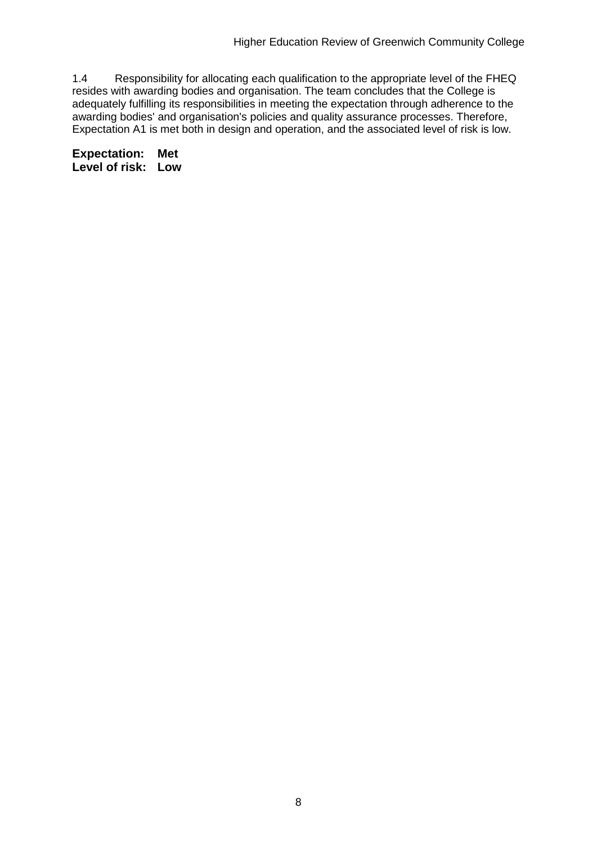1.4 Responsibility for allocating each qualification to the appropriate level of the FHEQ resides with awarding bodies and organisation. The team concludes that the College is adequately fulfilling its responsibilities in meeting the expectation through adherence to the awarding bodies' and organisation's policies and quality assurance processes. Therefore, Expectation A1 is met both in design and operation, and the associated level of risk is low.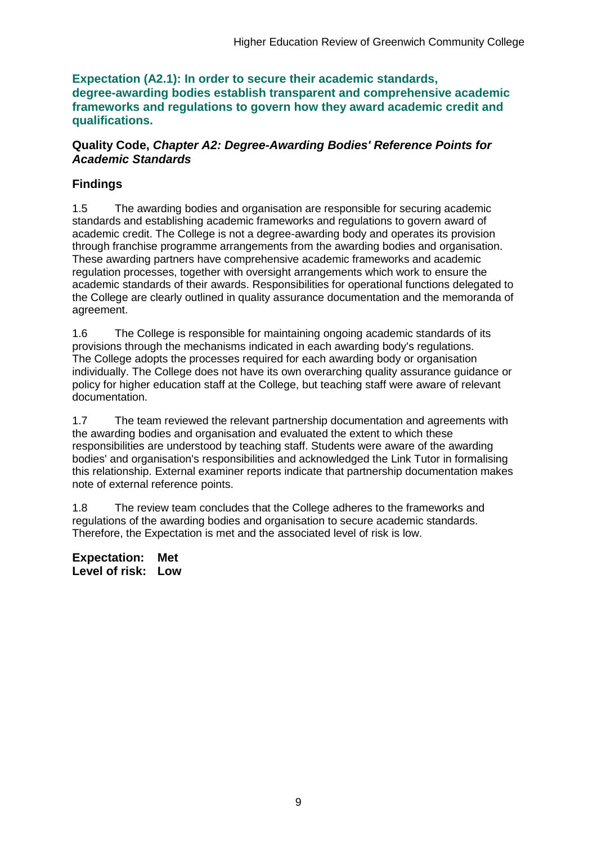**Expectation (A2.1): In order to secure their academic standards, degree-awarding bodies establish transparent and comprehensive academic frameworks and regulations to govern how they award academic credit and qualifications.**

#### **Quality Code,** *Chapter A2: Degree-Awarding Bodies' Reference Points for Academic Standards*

## **Findings**

1.5 The awarding bodies and organisation are responsible for securing academic standards and establishing academic frameworks and regulations to govern award of academic credit. The College is not a degree-awarding body and operates its provision through franchise programme arrangements from the awarding bodies and organisation. These awarding partners have comprehensive academic frameworks and academic regulation processes, together with oversight arrangements which work to ensure the academic standards of their awards. Responsibilities for operational functions delegated to the College are clearly outlined in quality assurance documentation and the memoranda of agreement.

1.6 The College is responsible for maintaining ongoing academic standards of its provisions through the mechanisms indicated in each awarding body's regulations. The College adopts the processes required for each awarding body or organisation individually. The College does not have its own overarching quality assurance guidance or policy for higher education staff at the College, but teaching staff were aware of relevant documentation.

1.7 The team reviewed the relevant partnership documentation and agreements with the awarding bodies and organisation and evaluated the extent to which these responsibilities are understood by teaching staff. Students were aware of the awarding bodies' and organisation's responsibilities and acknowledged the Link Tutor in formalising this relationship. External examiner reports indicate that partnership documentation makes note of external reference points.

1.8 The review team concludes that the College adheres to the frameworks and regulations of the awarding bodies and organisation to secure academic standards. Therefore, the Expectation is met and the associated level of risk is low.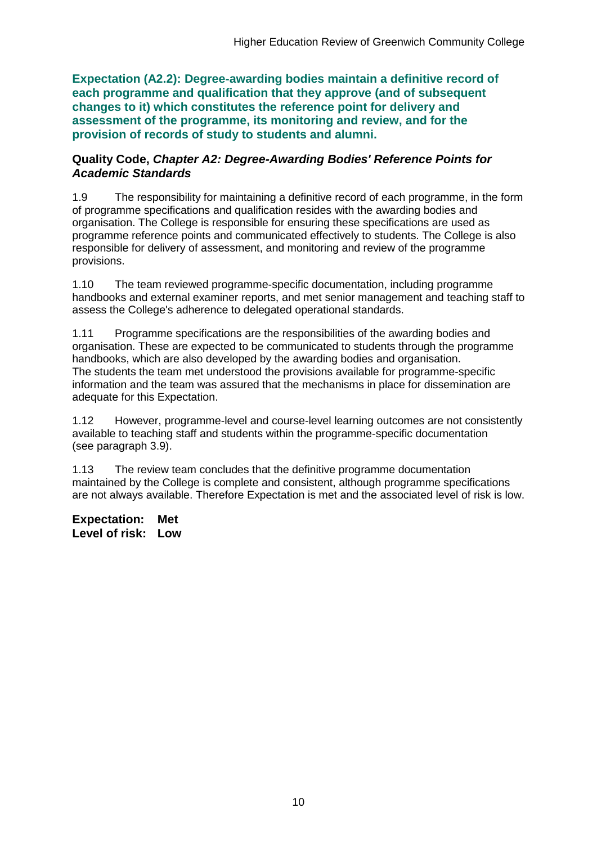**Expectation (A2.2): Degree-awarding bodies maintain a definitive record of each programme and qualification that they approve (and of subsequent changes to it) which constitutes the reference point for delivery and assessment of the programme, its monitoring and review, and for the provision of records of study to students and alumni.** 

#### **Quality Code,** *Chapter A2: Degree-Awarding Bodies' Reference Points for Academic Standards*

1.9 The responsibility for maintaining a definitive record of each programme, in the form of programme specifications and qualification resides with the awarding bodies and organisation. The College is responsible for ensuring these specifications are used as programme reference points and communicated effectively to students. The College is also responsible for delivery of assessment, and monitoring and review of the programme provisions.

1.10 The team reviewed programme-specific documentation, including programme handbooks and external examiner reports, and met senior management and teaching staff to assess the College's adherence to delegated operational standards.

1.11 Programme specifications are the responsibilities of the awarding bodies and organisation. These are expected to be communicated to students through the programme handbooks, which are also developed by the awarding bodies and organisation. The students the team met understood the provisions available for programme-specific information and the team was assured that the mechanisms in place for dissemination are adequate for this Expectation.

1.12 However, programme-level and course-level learning outcomes are not consistently available to teaching staff and students within the programme-specific documentation (see paragraph 3.9).

1.13 The review team concludes that the definitive programme documentation maintained by the College is complete and consistent, although programme specifications are not always available. Therefore Expectation is met and the associated level of risk is low.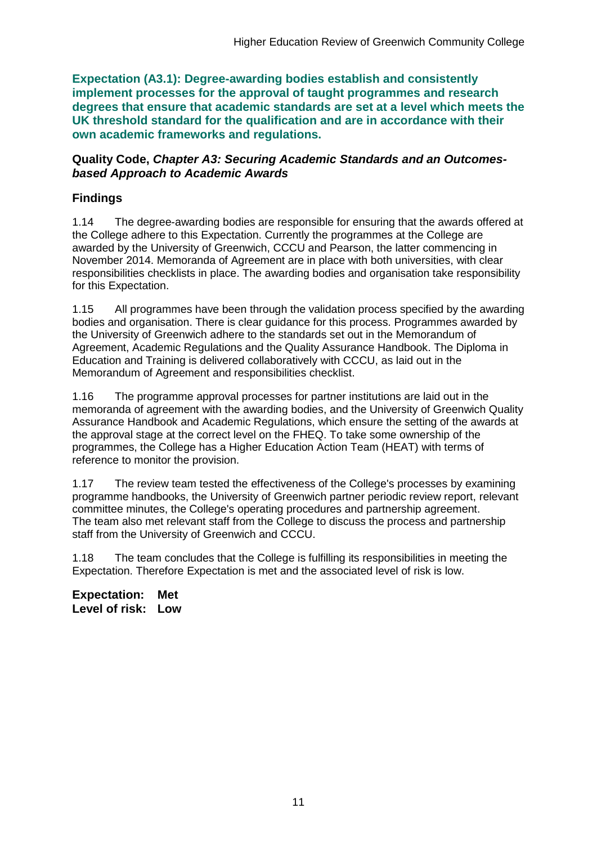**Expectation (A3.1): Degree-awarding bodies establish and consistently implement processes for the approval of taught programmes and research degrees that ensure that academic standards are set at a level which meets the UK threshold standard for the qualification and are in accordance with their own academic frameworks and regulations.**

#### **Quality Code,** *Chapter A3: Securing Academic Standards and an Outcomesbased Approach to Academic Awards*

## **Findings**

1.14 The degree-awarding bodies are responsible for ensuring that the awards offered at the College adhere to this Expectation. Currently the programmes at the College are awarded by the University of Greenwich, CCCU and Pearson, the latter commencing in November 2014. Memoranda of Agreement are in place with both universities, with clear responsibilities checklists in place. The awarding bodies and organisation take responsibility for this Expectation.

1.15 All programmes have been through the validation process specified by the awarding bodies and organisation. There is clear guidance for this process. Programmes awarded by the University of Greenwich adhere to the standards set out in the Memorandum of Agreement, Academic Regulations and the Quality Assurance Handbook. The Diploma in Education and Training is delivered collaboratively with CCCU, as laid out in the Memorandum of Agreement and responsibilities checklist.

1.16 The programme approval processes for partner institutions are laid out in the memoranda of agreement with the awarding bodies, and the University of Greenwich Quality Assurance Handbook and Academic Regulations, which ensure the setting of the awards at the approval stage at the correct level on the FHEQ. To take some ownership of the programmes, the College has a Higher Education Action Team (HEAT) with terms of reference to monitor the provision.

1.17 The review team tested the effectiveness of the College's processes by examining programme handbooks, the University of Greenwich partner periodic review report, relevant committee minutes, the College's operating procedures and partnership agreement. The team also met relevant staff from the College to discuss the process and partnership staff from the University of Greenwich and CCCU.

1.18 The team concludes that the College is fulfilling its responsibilities in meeting the Expectation. Therefore Expectation is met and the associated level of risk is low.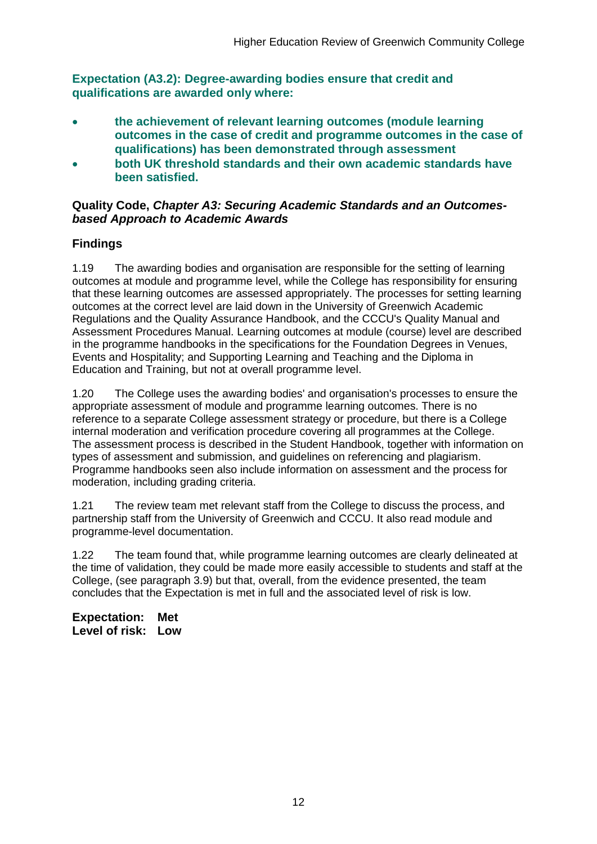**Expectation (A3.2): Degree-awarding bodies ensure that credit and qualifications are awarded only where:** 

- **the achievement of relevant learning outcomes (module learning outcomes in the case of credit and programme outcomes in the case of qualifications) has been demonstrated through assessment**
- **both UK threshold standards and their own academic standards have been satisfied.**

### **Quality Code,** *Chapter A3: Securing Academic Standards and an Outcomesbased Approach to Academic Awards*

## **Findings**

1.19 The awarding bodies and organisation are responsible for the setting of learning outcomes at module and programme level, while the College has responsibility for ensuring that these learning outcomes are assessed appropriately. The processes for setting learning outcomes at the correct level are laid down in the University of Greenwich Academic Regulations and the Quality Assurance Handbook, and the CCCU's Quality Manual and Assessment Procedures Manual. Learning outcomes at module (course) level are described in the programme handbooks in the specifications for the Foundation Degrees in Venues, Events and Hospitality; and Supporting Learning and Teaching and the Diploma in Education and Training, but not at overall programme level.

1.20 The College uses the awarding bodies' and organisation's processes to ensure the appropriate assessment of module and programme learning outcomes. There is no reference to a separate College assessment strategy or procedure, but there is a College internal moderation and verification procedure covering all programmes at the College. The assessment process is described in the Student Handbook, together with information on types of assessment and submission, and guidelines on referencing and plagiarism. Programme handbooks seen also include information on assessment and the process for moderation, including grading criteria.

1.21 The review team met relevant staff from the College to discuss the process, and partnership staff from the University of Greenwich and CCCU. It also read module and programme-level documentation.

1.22 The team found that, while programme learning outcomes are clearly delineated at the time of validation, they could be made more easily accessible to students and staff at the College, (see paragraph 3.9) but that, overall, from the evidence presented, the team concludes that the Expectation is met in full and the associated level of risk is low.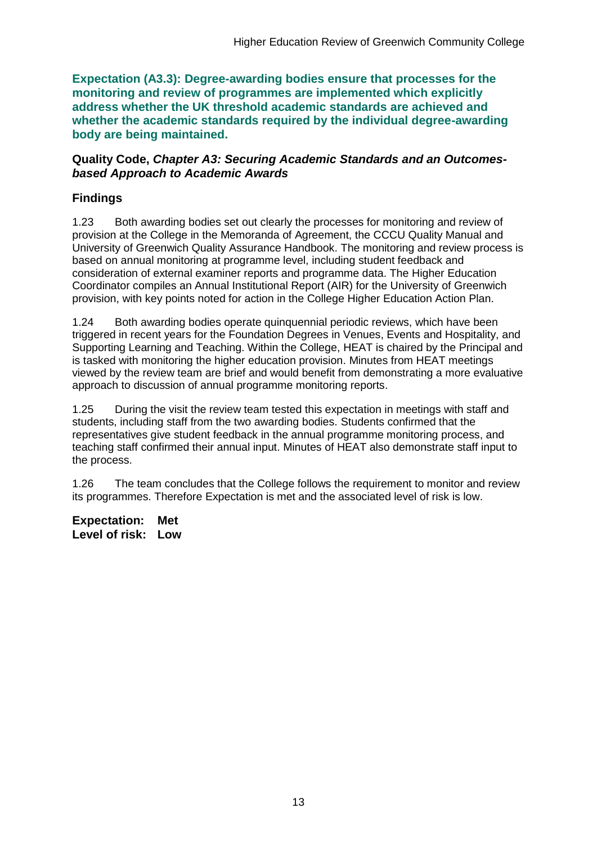**Expectation (A3.3): Degree-awarding bodies ensure that processes for the monitoring and review of programmes are implemented which explicitly address whether the UK threshold academic standards are achieved and whether the academic standards required by the individual degree-awarding body are being maintained.**

#### **Quality Code,** *Chapter A3: Securing Academic Standards and an Outcomesbased Approach to Academic Awards*

## **Findings**

1.23 Both awarding bodies set out clearly the processes for monitoring and review of provision at the College in the Memoranda of Agreement, the CCCU Quality Manual and University of Greenwich Quality Assurance Handbook. The monitoring and review process is based on annual monitoring at programme level, including student feedback and consideration of external examiner reports and programme data. The Higher Education Coordinator compiles an Annual Institutional Report (AIR) for the University of Greenwich provision, with key points noted for action in the College Higher Education Action Plan.

1.24 Both awarding bodies operate quinquennial periodic reviews, which have been triggered in recent years for the Foundation Degrees in Venues, Events and Hospitality, and Supporting Learning and Teaching. Within the College, HEAT is chaired by the Principal and is tasked with monitoring the higher education provision. Minutes from HEAT meetings viewed by the review team are brief and would benefit from demonstrating a more evaluative approach to discussion of annual programme monitoring reports.

1.25 During the visit the review team tested this expectation in meetings with staff and students, including staff from the two awarding bodies. Students confirmed that the representatives give student feedback in the annual programme monitoring process, and teaching staff confirmed their annual input. Minutes of HEAT also demonstrate staff input to the process.

1.26 The team concludes that the College follows the requirement to monitor and review its programmes. Therefore Expectation is met and the associated level of risk is low.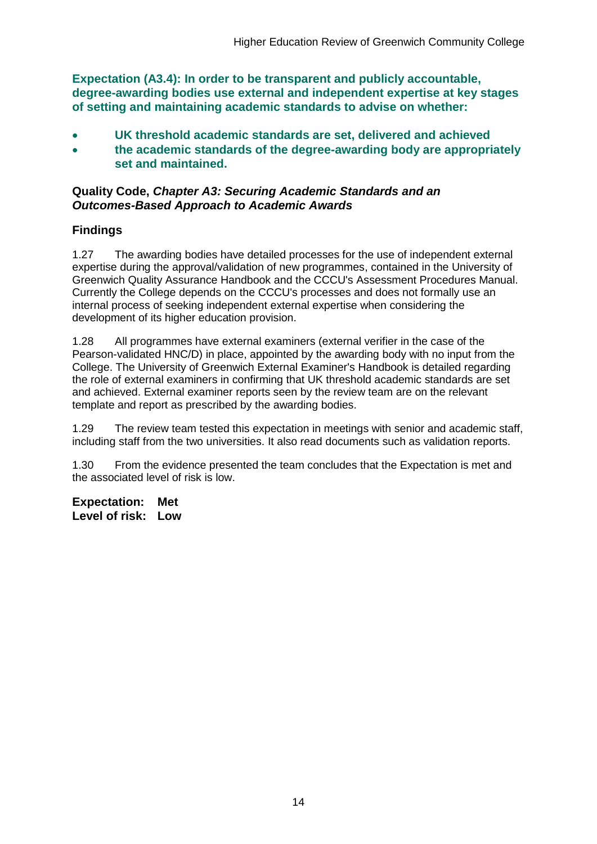**Expectation (A3.4): In order to be transparent and publicly accountable, degree-awarding bodies use external and independent expertise at key stages of setting and maintaining academic standards to advise on whether:**

- **UK threshold academic standards are set, delivered and achieved**
- **the academic standards of the degree-awarding body are appropriately set and maintained.**

### **Quality Code,** *Chapter A3: Securing Academic Standards and an Outcomes-Based Approach to Academic Awards*

## **Findings**

1.27 The awarding bodies have detailed processes for the use of independent external expertise during the approval/validation of new programmes, contained in the University of Greenwich Quality Assurance Handbook and the CCCU's Assessment Procedures Manual. Currently the College depends on the CCCU's processes and does not formally use an internal process of seeking independent external expertise when considering the development of its higher education provision.

1.28 All programmes have external examiners (external verifier in the case of the Pearson-validated HNC/D) in place, appointed by the awarding body with no input from the College. The University of Greenwich External Examiner's Handbook is detailed regarding the role of external examiners in confirming that UK threshold academic standards are set and achieved. External examiner reports seen by the review team are on the relevant template and report as prescribed by the awarding bodies.

1.29 The review team tested this expectation in meetings with senior and academic staff, including staff from the two universities. It also read documents such as validation reports.

1.30 From the evidence presented the team concludes that the Expectation is met and the associated level of risk is low.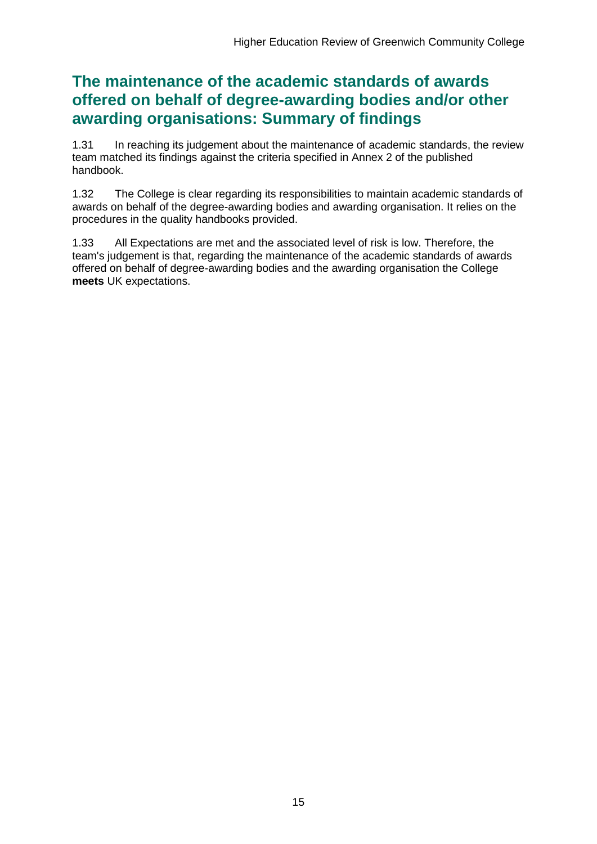## **The maintenance of the academic standards of awards offered on behalf of degree-awarding bodies and/or other awarding organisations: Summary of findings**

1.31 In reaching its judgement about the maintenance of academic standards, the review team matched its findings against the criteria specified in Annex 2 of the published handbook.

1.32 The College is clear regarding its responsibilities to maintain academic standards of awards on behalf of the degree-awarding bodies and awarding organisation. It relies on the procedures in the quality handbooks provided.

1.33 All Expectations are met and the associated level of risk is low. Therefore, the team's judgement is that, regarding the maintenance of the academic standards of awards offered on behalf of degree-awarding bodies and the awarding organisation the College **meets** UK expectations.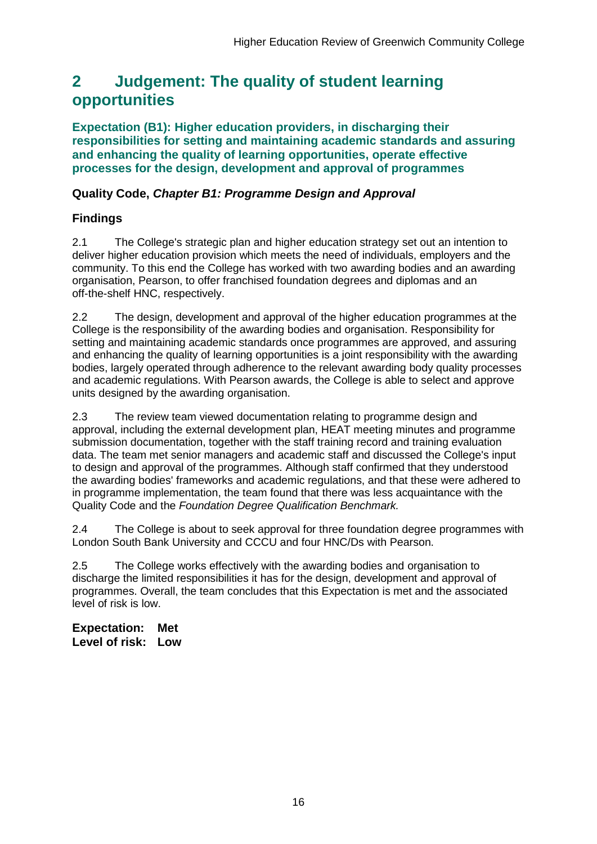## <span id="page-16-0"></span>**2 Judgement: The quality of student learning opportunities**

**Expectation (B1): Higher education providers, in discharging their responsibilities for setting and maintaining academic standards and assuring and enhancing the quality of learning opportunities, operate effective processes for the design, development and approval of programmes**

## **Quality Code,** *Chapter B1: Programme Design and Approval*

## **Findings**

2.1 The College's strategic plan and higher education strategy set out an intention to deliver higher education provision which meets the need of individuals, employers and the community. To this end the College has worked with two awarding bodies and an awarding organisation, Pearson, to offer franchised foundation degrees and diplomas and an off-the-shelf HNC, respectively.

2.2 The design, development and approval of the higher education programmes at the College is the responsibility of the awarding bodies and organisation. Responsibility for setting and maintaining academic standards once programmes are approved, and assuring and enhancing the quality of learning opportunities is a joint responsibility with the awarding bodies, largely operated through adherence to the relevant awarding body quality processes and academic regulations. With Pearson awards, the College is able to select and approve units designed by the awarding organisation.

2.3 The review team viewed documentation relating to programme design and approval, including the external development plan, HEAT meeting minutes and programme submission documentation, together with the staff training record and training evaluation data. The team met senior managers and academic staff and discussed the College's input to design and approval of the programmes. Although staff confirmed that they understood the awarding bodies' frameworks and academic regulations, and that these were adhered to in programme implementation, the team found that there was less acquaintance with the Quality Code and the *Foundation Degree Qualification Benchmark.*

2.4 The College is about to seek approval for three foundation degree programmes with London South Bank University and CCCU and four HNC/Ds with Pearson.

2.5 The College works effectively with the awarding bodies and organisation to discharge the limited responsibilities it has for the design, development and approval of programmes. Overall, the team concludes that this Expectation is met and the associated level of risk is low.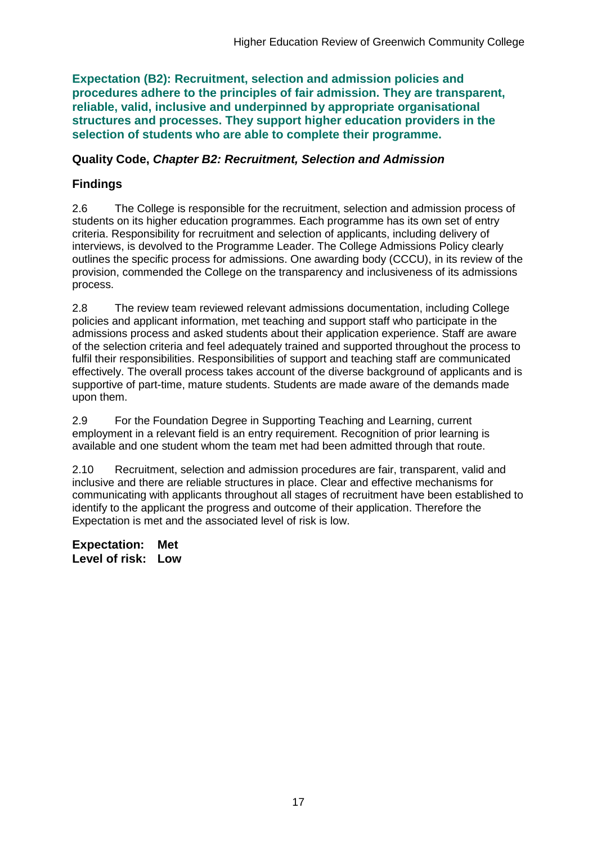**Expectation (B2): Recruitment, selection and admission policies and procedures adhere to the principles of fair admission. They are transparent, reliable, valid, inclusive and underpinned by appropriate organisational structures and processes. They support higher education providers in the selection of students who are able to complete their programme.**

#### **Quality Code,** *Chapter B2: Recruitment, Selection and Admission*

### **Findings**

2.6 The College is responsible for the recruitment, selection and admission process of students on its higher education programmes. Each programme has its own set of entry criteria. Responsibility for recruitment and selection of applicants, including delivery of interviews, is devolved to the Programme Leader. The College Admissions Policy clearly outlines the specific process for admissions. One awarding body (CCCU), in its review of the provision, commended the College on the transparency and inclusiveness of its admissions process.

2.8 The review team reviewed relevant admissions documentation, including College policies and applicant information, met teaching and support staff who participate in the admissions process and asked students about their application experience. Staff are aware of the selection criteria and feel adequately trained and supported throughout the process to fulfil their responsibilities. Responsibilities of support and teaching staff are communicated effectively. The overall process takes account of the diverse background of applicants and is supportive of part-time, mature students. Students are made aware of the demands made upon them.

2.9 For the Foundation Degree in Supporting Teaching and Learning, current employment in a relevant field is an entry requirement. Recognition of prior learning is available and one student whom the team met had been admitted through that route.

2.10 Recruitment, selection and admission procedures are fair, transparent, valid and inclusive and there are reliable structures in place. Clear and effective mechanisms for communicating with applicants throughout all stages of recruitment have been established to identify to the applicant the progress and outcome of their application. Therefore the Expectation is met and the associated level of risk is low.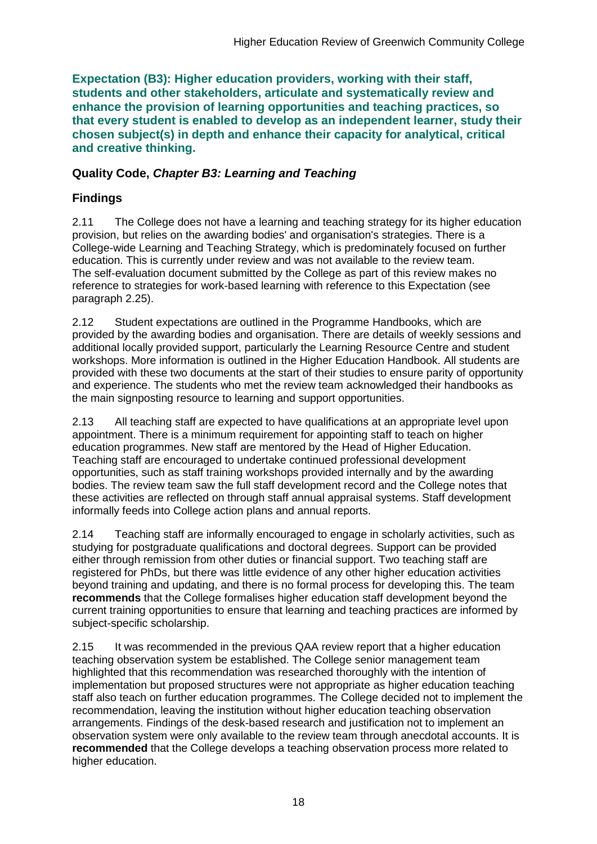**Expectation (B3): Higher education providers, working with their staff, students and other stakeholders, articulate and systematically review and enhance the provision of learning opportunities and teaching practices, so that every student is enabled to develop as an independent learner, study their chosen subject(s) in depth and enhance their capacity for analytical, critical and creative thinking.**

## **Quality Code,** *Chapter B3: Learning and Teaching*

## **Findings**

2.11 The College does not have a learning and teaching strategy for its higher education provision, but relies on the awarding bodies' and organisation's strategies. There is a College-wide Learning and Teaching Strategy, which is predominately focused on further education. This is currently under review and was not available to the review team. The self-evaluation document submitted by the College as part of this review makes no reference to strategies for work-based learning with reference to this Expectation (see paragraph 2.25).

2.12 Student expectations are outlined in the Programme Handbooks, which are provided by the awarding bodies and organisation. There are details of weekly sessions and additional locally provided support, particularly the Learning Resource Centre and student workshops. More information is outlined in the Higher Education Handbook. All students are provided with these two documents at the start of their studies to ensure parity of opportunity and experience. The students who met the review team acknowledged their handbooks as the main signposting resource to learning and support opportunities.

2.13 All teaching staff are expected to have qualifications at an appropriate level upon appointment. There is a minimum requirement for appointing staff to teach on higher education programmes. New staff are mentored by the Head of Higher Education. Teaching staff are encouraged to undertake continued professional development opportunities, such as staff training workshops provided internally and by the awarding bodies. The review team saw the full staff development record and the College notes that these activities are reflected on through staff annual appraisal systems. Staff development informally feeds into College action plans and annual reports.

2.14 Teaching staff are informally encouraged to engage in scholarly activities, such as studying for postgraduate qualifications and doctoral degrees. Support can be provided either through remission from other duties or financial support. Two teaching staff are registered for PhDs, but there was little evidence of any other higher education activities beyond training and updating, and there is no formal process for developing this. The team **recommends** that the College formalises higher education staff development beyond the current training opportunities to ensure that learning and teaching practices are informed by subject-specific scholarship.

2.15 It was recommended in the previous QAA review report that a higher education teaching observation system be established. The College senior management team highlighted that this recommendation was researched thoroughly with the intention of implementation but proposed structures were not appropriate as higher education teaching staff also teach on further education programmes. The College decided not to implement the recommendation, leaving the institution without higher education teaching observation arrangements. Findings of the desk-based research and justification not to implement an observation system were only available to the review team through anecdotal accounts. It is **recommended** that the College develops a teaching observation process more related to higher education.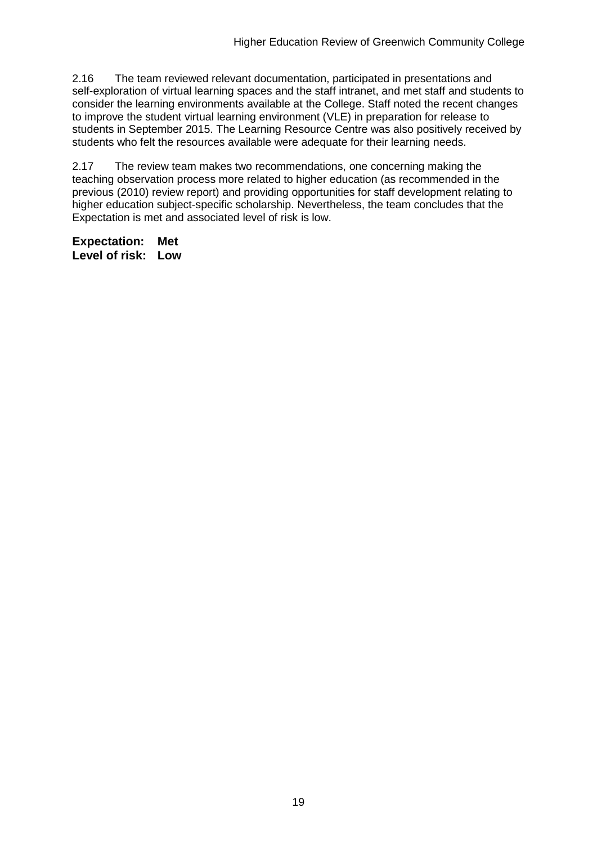2.16 The team reviewed relevant documentation, participated in presentations and self-exploration of virtual learning spaces and the staff intranet, and met staff and students to consider the learning environments available at the College. Staff noted the recent changes to improve the student virtual learning environment (VLE) in preparation for release to students in September 2015. The Learning Resource Centre was also positively received by students who felt the resources available were adequate for their learning needs.

2.17 The review team makes two recommendations, one concerning making the teaching observation process more related to higher education (as recommended in the previous (2010) review report) and providing opportunities for staff development relating to higher education subject-specific scholarship. Nevertheless, the team concludes that the Expectation is met and associated level of risk is low.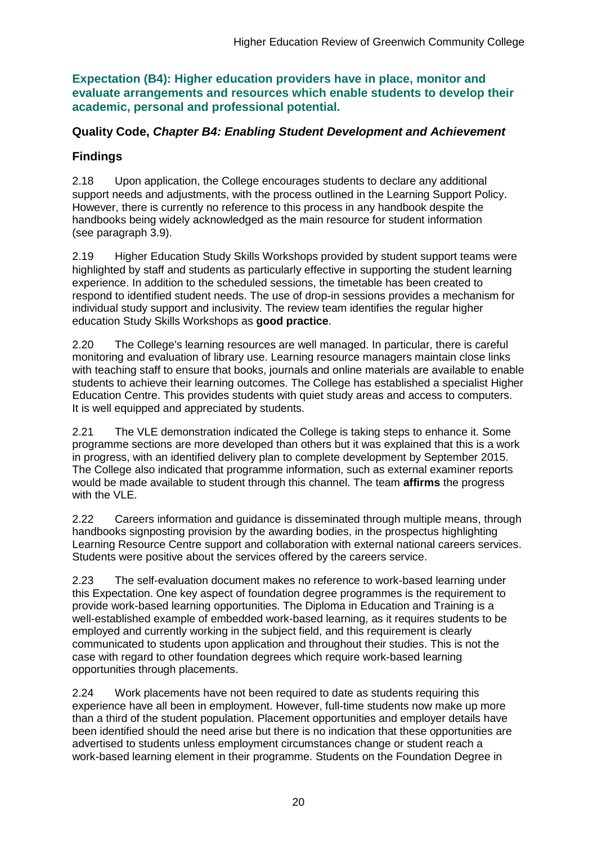**Expectation (B4): Higher education providers have in place, monitor and evaluate arrangements and resources which enable students to develop their academic, personal and professional potential.**

### **Quality Code,** *Chapter B4: Enabling Student Development and Achievement*

## **Findings**

2.18 Upon application, the College encourages students to declare any additional support needs and adjustments, with the process outlined in the Learning Support Policy. However, there is currently no reference to this process in any handbook despite the handbooks being widely acknowledged as the main resource for student information (see paragraph 3.9).

2.19 Higher Education Study Skills Workshops provided by student support teams were highlighted by staff and students as particularly effective in supporting the student learning experience. In addition to the scheduled sessions, the timetable has been created to respond to identified student needs. The use of drop-in sessions provides a mechanism for individual study support and inclusivity. The review team identifies the regular higher education Study Skills Workshops as **good practice**.

2.20 The College's learning resources are well managed. In particular, there is careful monitoring and evaluation of library use. Learning resource managers maintain close links with teaching staff to ensure that books, journals and online materials are available to enable students to achieve their learning outcomes. The College has established a specialist Higher Education Centre. This provides students with quiet study areas and access to computers. It is well equipped and appreciated by students.

2.21 The VLE demonstration indicated the College is taking steps to enhance it. Some programme sections are more developed than others but it was explained that this is a work in progress, with an identified delivery plan to complete development by September 2015. The College also indicated that programme information, such as external examiner reports would be made available to student through this channel. The team **affirms** the progress with the VLE.

2.22 Careers information and guidance is disseminated through multiple means, through handbooks signposting provision by the awarding bodies, in the prospectus highlighting Learning Resource Centre support and collaboration with external national careers services. Students were positive about the services offered by the careers service.

2.23 The self-evaluation document makes no reference to work-based learning under this Expectation. One key aspect of foundation degree programmes is the requirement to provide work-based learning opportunities. The Diploma in Education and Training is a well-established example of embedded work-based learning, as it requires students to be employed and currently working in the subject field, and this requirement is clearly communicated to students upon application and throughout their studies. This is not the case with regard to other foundation degrees which require work-based learning opportunities through placements.

2.24 Work placements have not been required to date as students requiring this experience have all been in employment. However, full-time students now make up more than a third of the student population. Placement opportunities and employer details have been identified should the need arise but there is no indication that these opportunities are advertised to students unless employment circumstances change or student reach a work-based learning element in their programme. Students on the Foundation Degree in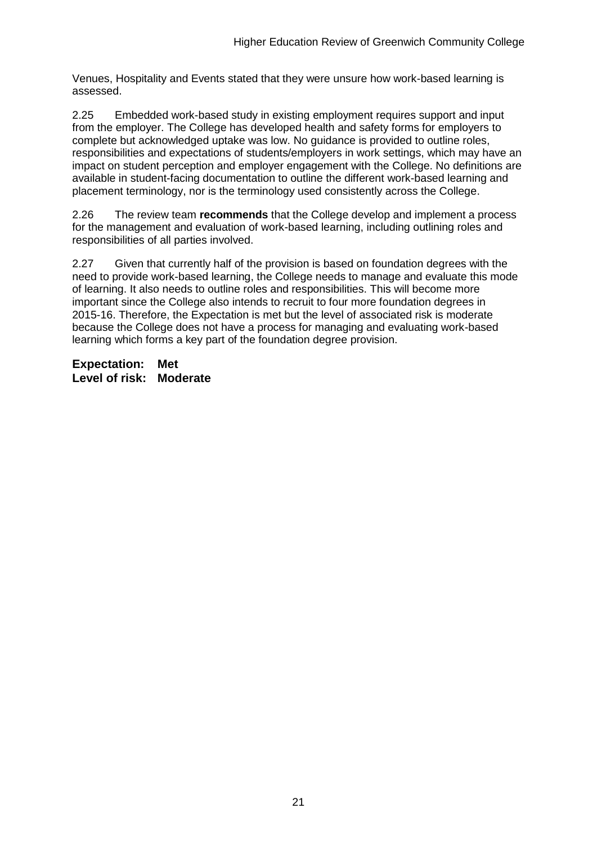Venues, Hospitality and Events stated that they were unsure how work-based learning is assessed.

2.25 Embedded work-based study in existing employment requires support and input from the employer. The College has developed health and safety forms for employers to complete but acknowledged uptake was low. No guidance is provided to outline roles, responsibilities and expectations of students/employers in work settings, which may have an impact on student perception and employer engagement with the College. No definitions are available in student-facing documentation to outline the different work-based learning and placement terminology, nor is the terminology used consistently across the College.

2.26 The review team **recommends** that the College develop and implement a process for the management and evaluation of work-based learning, including outlining roles and responsibilities of all parties involved.

2.27 Given that currently half of the provision is based on foundation degrees with the need to provide work-based learning, the College needs to manage and evaluate this mode of learning. It also needs to outline roles and responsibilities. This will become more important since the College also intends to recruit to four more foundation degrees in 2015-16. Therefore, the Expectation is met but the level of associated risk is moderate because the College does not have a process for managing and evaluating work-based learning which forms a key part of the foundation degree provision.

**Expectation: Met Level of risk: Moderate**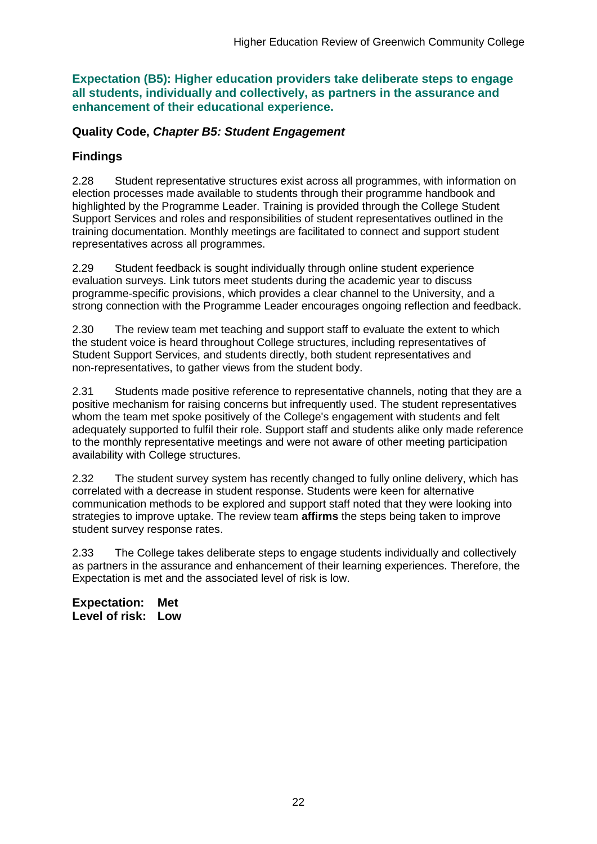**Expectation (B5): Higher education providers take deliberate steps to engage all students, individually and collectively, as partners in the assurance and enhancement of their educational experience.**

### **Quality Code,** *Chapter B5: Student Engagement*

### **Findings**

2.28 Student representative structures exist across all programmes, with information on election processes made available to students through their programme handbook and highlighted by the Programme Leader. Training is provided through the College Student Support Services and roles and responsibilities of student representatives outlined in the training documentation. Monthly meetings are facilitated to connect and support student representatives across all programmes.

2.29 Student feedback is sought individually through online student experience evaluation surveys. Link tutors meet students during the academic year to discuss programme-specific provisions, which provides a clear channel to the University, and a strong connection with the Programme Leader encourages ongoing reflection and feedback.

2.30 The review team met teaching and support staff to evaluate the extent to which the student voice is heard throughout College structures, including representatives of Student Support Services, and students directly, both student representatives and non-representatives, to gather views from the student body.

2.31 Students made positive reference to representative channels, noting that they are a positive mechanism for raising concerns but infrequently used. The student representatives whom the team met spoke positively of the College's engagement with students and felt adequately supported to fulfil their role. Support staff and students alike only made reference to the monthly representative meetings and were not aware of other meeting participation availability with College structures.

2.32 The student survey system has recently changed to fully online delivery, which has correlated with a decrease in student response. Students were keen for alternative communication methods to be explored and support staff noted that they were looking into strategies to improve uptake. The review team **affirms** the steps being taken to improve student survey response rates.

2.33 The College takes deliberate steps to engage students individually and collectively as partners in the assurance and enhancement of their learning experiences. Therefore, the Expectation is met and the associated level of risk is low.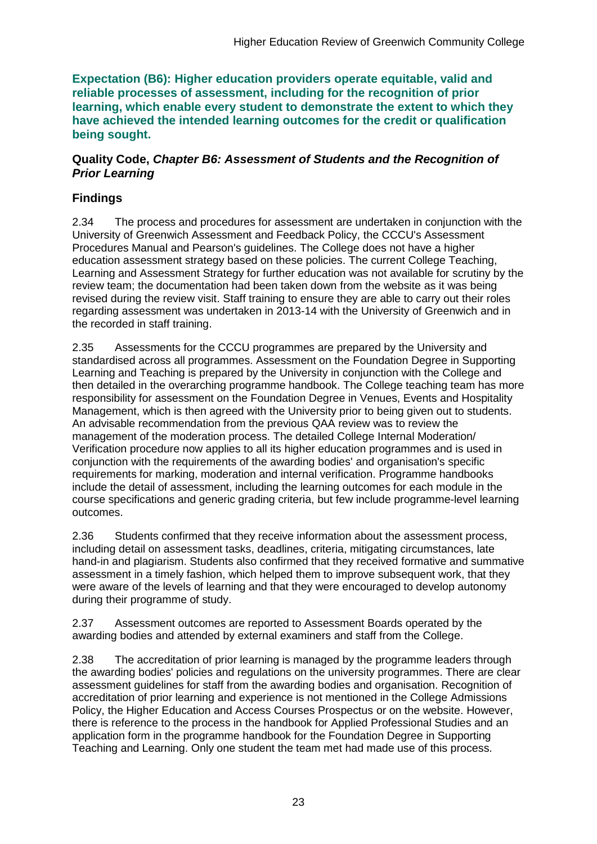**Expectation (B6): Higher education providers operate equitable, valid and reliable processes of assessment, including for the recognition of prior learning, which enable every student to demonstrate the extent to which they have achieved the intended learning outcomes for the credit or qualification being sought.**

#### **Quality Code,** *Chapter B6: Assessment of Students and the Recognition of Prior Learning*

## **Findings**

2.34 The process and procedures for assessment are undertaken in conjunction with the University of Greenwich Assessment and Feedback Policy, the CCCU's Assessment Procedures Manual and Pearson's guidelines. The College does not have a higher education assessment strategy based on these policies. The current College Teaching, Learning and Assessment Strategy for further education was not available for scrutiny by the review team; the documentation had been taken down from the website as it was being revised during the review visit. Staff training to ensure they are able to carry out their roles regarding assessment was undertaken in 2013-14 with the University of Greenwich and in the recorded in staff training.

2.35 Assessments for the CCCU programmes are prepared by the University and standardised across all programmes. Assessment on the Foundation Degree in Supporting Learning and Teaching is prepared by the University in conjunction with the College and then detailed in the overarching programme handbook. The College teaching team has more responsibility for assessment on the Foundation Degree in Venues, Events and Hospitality Management, which is then agreed with the University prior to being given out to students. An advisable recommendation from the previous QAA review was to review the management of the moderation process. The detailed College Internal Moderation/ Verification procedure now applies to all its higher education programmes and is used in conjunction with the requirements of the awarding bodies' and organisation's specific requirements for marking, moderation and internal verification. Programme handbooks include the detail of assessment, including the learning outcomes for each module in the course specifications and generic grading criteria, but few include programme-level learning outcomes.

2.36 Students confirmed that they receive information about the assessment process, including detail on assessment tasks, deadlines, criteria, mitigating circumstances, late hand-in and plagiarism. Students also confirmed that they received formative and summative assessment in a timely fashion, which helped them to improve subsequent work, that they were aware of the levels of learning and that they were encouraged to develop autonomy during their programme of study.

2.37 Assessment outcomes are reported to Assessment Boards operated by the awarding bodies and attended by external examiners and staff from the College.

2.38 The accreditation of prior learning is managed by the programme leaders through the awarding bodies' policies and regulations on the university programmes. There are clear assessment guidelines for staff from the awarding bodies and organisation. Recognition of accreditation of prior learning and experience is not mentioned in the College Admissions Policy, the Higher Education and Access Courses Prospectus or on the website. However, there is reference to the process in the handbook for Applied Professional Studies and an application form in the programme handbook for the Foundation Degree in Supporting Teaching and Learning. Only one student the team met had made use of this process.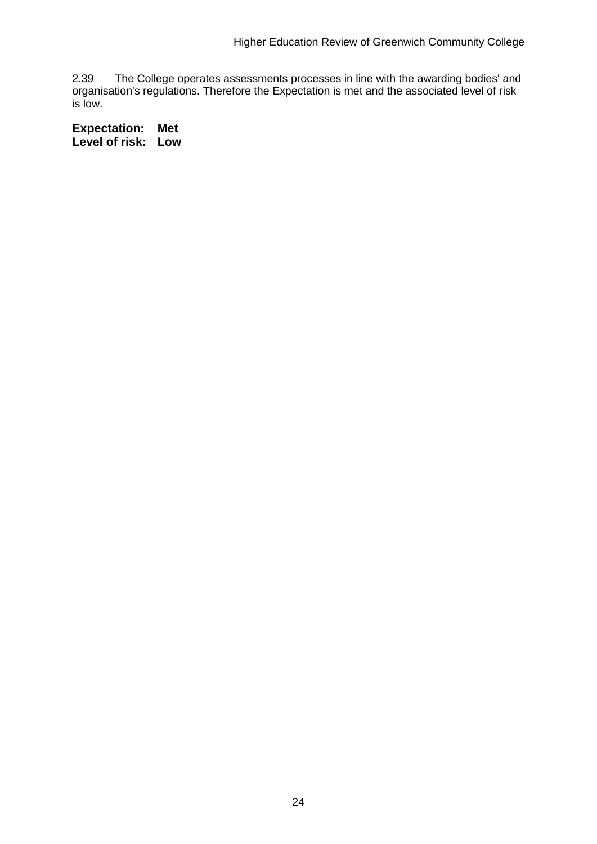2.39 The College operates assessments processes in line with the awarding bodies' and organisation's regulations. Therefore the Expectation is met and the associated level of risk is low.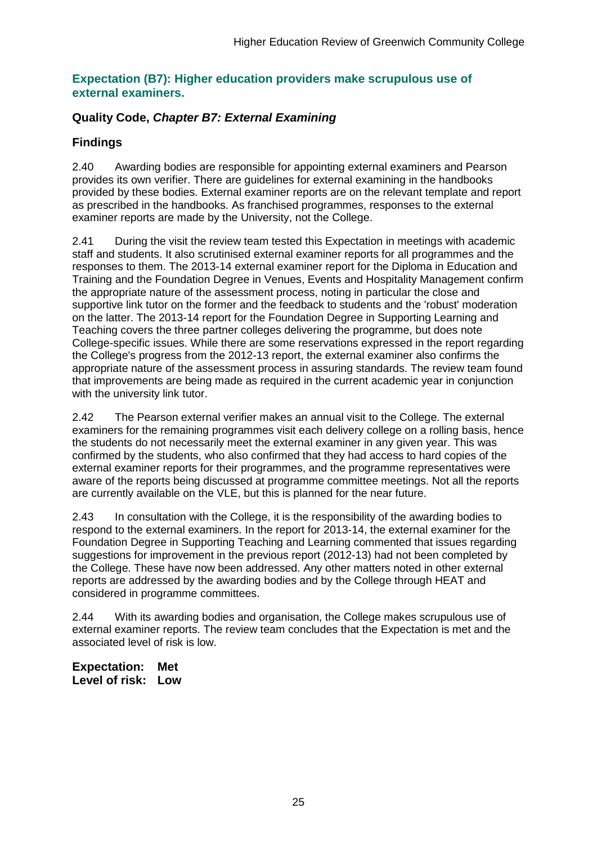### **Expectation (B7): Higher education providers make scrupulous use of external examiners.**

## **Quality Code,** *Chapter B7: External Examining*

## **Findings**

2.40 Awarding bodies are responsible for appointing external examiners and Pearson provides its own verifier. There are guidelines for external examining in the handbooks provided by these bodies. External examiner reports are on the relevant template and report as prescribed in the handbooks. As franchised programmes, responses to the external examiner reports are made by the University, not the College.

2.41 During the visit the review team tested this Expectation in meetings with academic staff and students. It also scrutinised external examiner reports for all programmes and the responses to them. The 2013-14 external examiner report for the Diploma in Education and Training and the Foundation Degree in Venues, Events and Hospitality Management confirm the appropriate nature of the assessment process, noting in particular the close and supportive link tutor on the former and the feedback to students and the 'robust' moderation on the latter. The 2013-14 report for the Foundation Degree in Supporting Learning and Teaching covers the three partner colleges delivering the programme, but does note College-specific issues. While there are some reservations expressed in the report regarding the College's progress from the 2012-13 report, the external examiner also confirms the appropriate nature of the assessment process in assuring standards. The review team found that improvements are being made as required in the current academic year in conjunction with the university link tutor.

2.42 The Pearson external verifier makes an annual visit to the College. The external examiners for the remaining programmes visit each delivery college on a rolling basis, hence the students do not necessarily meet the external examiner in any given year. This was confirmed by the students, who also confirmed that they had access to hard copies of the external examiner reports for their programmes, and the programme representatives were aware of the reports being discussed at programme committee meetings. Not all the reports are currently available on the VLE, but this is planned for the near future.

2.43 In consultation with the College, it is the responsibility of the awarding bodies to respond to the external examiners. In the report for 2013-14, the external examiner for the Foundation Degree in Supporting Teaching and Learning commented that issues regarding suggestions for improvement in the previous report (2012-13) had not been completed by the College. These have now been addressed. Any other matters noted in other external reports are addressed by the awarding bodies and by the College through HEAT and considered in programme committees.

2.44 With its awarding bodies and organisation, the College makes scrupulous use of external examiner reports. The review team concludes that the Expectation is met and the associated level of risk is low.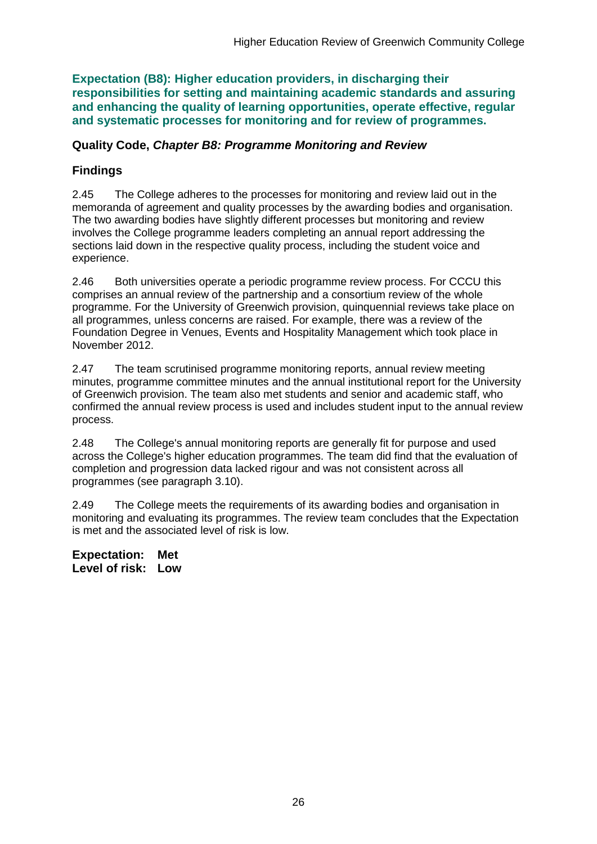**Expectation (B8): Higher education providers, in discharging their responsibilities for setting and maintaining academic standards and assuring and enhancing the quality of learning opportunities, operate effective, regular and systematic processes for monitoring and for review of programmes.**

#### **Quality Code,** *Chapter B8: Programme Monitoring and Review*

### **Findings**

2.45 The College adheres to the processes for monitoring and review laid out in the memoranda of agreement and quality processes by the awarding bodies and organisation. The two awarding bodies have slightly different processes but monitoring and review involves the College programme leaders completing an annual report addressing the sections laid down in the respective quality process, including the student voice and experience.

2.46 Both universities operate a periodic programme review process. For CCCU this comprises an annual review of the partnership and a consortium review of the whole programme. For the University of Greenwich provision, quinquennial reviews take place on all programmes, unless concerns are raised. For example, there was a review of the Foundation Degree in Venues, Events and Hospitality Management which took place in November 2012.

2.47 The team scrutinised programme monitoring reports, annual review meeting minutes, programme committee minutes and the annual institutional report for the University of Greenwich provision. The team also met students and senior and academic staff, who confirmed the annual review process is used and includes student input to the annual review process.

2.48 The College's annual monitoring reports are generally fit for purpose and used across the College's higher education programmes. The team did find that the evaluation of completion and progression data lacked rigour and was not consistent across all programmes (see paragraph 3.10).

2.49 The College meets the requirements of its awarding bodies and organisation in monitoring and evaluating its programmes. The review team concludes that the Expectation is met and the associated level of risk is low.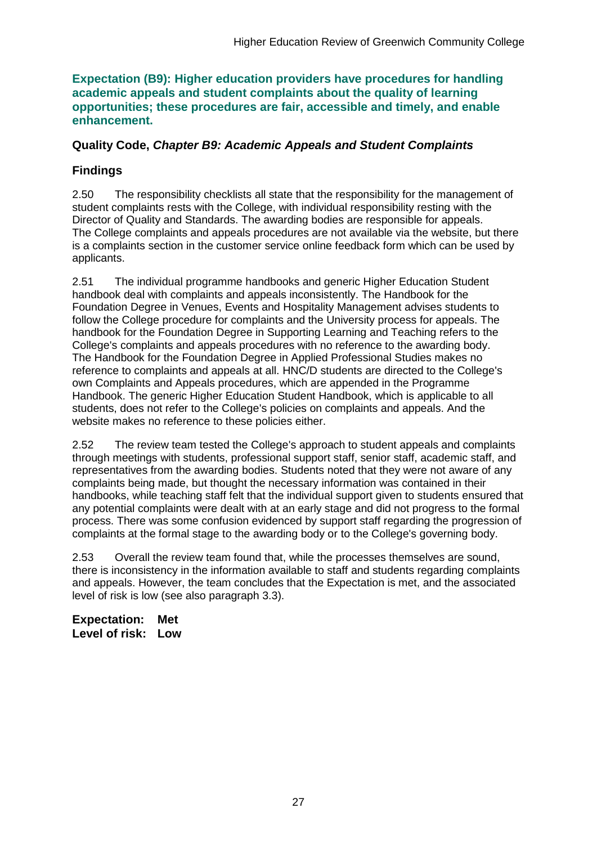#### **Expectation (B9): Higher education providers have procedures for handling academic appeals and student complaints about the quality of learning opportunities; these procedures are fair, accessible and timely, and enable enhancement.**

### **Quality Code,** *Chapter B9: Academic Appeals and Student Complaints*

## **Findings**

2.50 The responsibility checklists all state that the responsibility for the management of student complaints rests with the College, with individual responsibility resting with the Director of Quality and Standards. The awarding bodies are responsible for appeals. The College complaints and appeals procedures are not available via the website, but there is a complaints section in the customer service online feedback form which can be used by applicants.

2.51 The individual programme handbooks and generic Higher Education Student handbook deal with complaints and appeals inconsistently. The Handbook for the Foundation Degree in Venues, Events and Hospitality Management advises students to follow the College procedure for complaints and the University process for appeals. The handbook for the Foundation Degree in Supporting Learning and Teaching refers to the College's complaints and appeals procedures with no reference to the awarding body. The Handbook for the Foundation Degree in Applied Professional Studies makes no reference to complaints and appeals at all. HNC/D students are directed to the College's own Complaints and Appeals procedures, which are appended in the Programme Handbook. The generic Higher Education Student Handbook, which is applicable to all students, does not refer to the College's policies on complaints and appeals. And the website makes no reference to these policies either.

2.52 The review team tested the College's approach to student appeals and complaints through meetings with students, professional support staff, senior staff, academic staff, and representatives from the awarding bodies. Students noted that they were not aware of any complaints being made, but thought the necessary information was contained in their handbooks, while teaching staff felt that the individual support given to students ensured that any potential complaints were dealt with at an early stage and did not progress to the formal process. There was some confusion evidenced by support staff regarding the progression of complaints at the formal stage to the awarding body or to the College's governing body.

2.53 Overall the review team found that, while the processes themselves are sound, there is inconsistency in the information available to staff and students regarding complaints and appeals. However, the team concludes that the Expectation is met, and the associated level of risk is low (see also paragraph 3.3).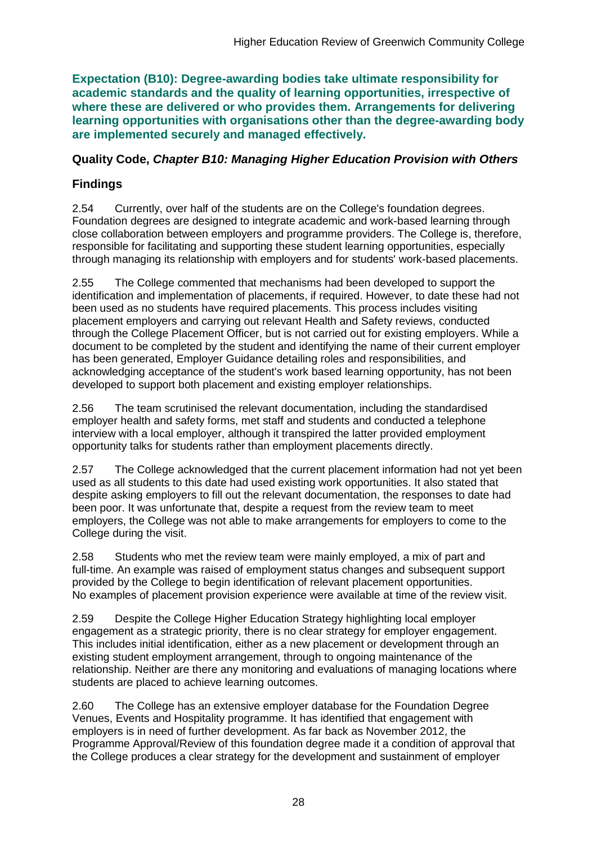**Expectation (B10): Degree-awarding bodies take ultimate responsibility for academic standards and the quality of learning opportunities, irrespective of where these are delivered or who provides them. Arrangements for delivering learning opportunities with organisations other than the degree-awarding body are implemented securely and managed effectively.**

### **Quality Code,** *Chapter B10: Managing Higher Education Provision with Others*

## **Findings**

2.54 Currently, over half of the students are on the College's foundation degrees. Foundation degrees are designed to integrate academic and work-based learning through close collaboration between employers and programme providers. The College is, therefore, responsible for facilitating and supporting these student learning opportunities, especially through managing its relationship with employers and for students' work-based placements.

2.55 The College commented that mechanisms had been developed to support the identification and implementation of placements, if required. However, to date these had not been used as no students have required placements. This process includes visiting placement employers and carrying out relevant Health and Safety reviews, conducted through the College Placement Officer, but is not carried out for existing employers. While a document to be completed by the student and identifying the name of their current employer has been generated, Employer Guidance detailing roles and responsibilities, and acknowledging acceptance of the student's work based learning opportunity, has not been developed to support both placement and existing employer relationships.

2.56 The team scrutinised the relevant documentation, including the standardised employer health and safety forms, met staff and students and conducted a telephone interview with a local employer, although it transpired the latter provided employment opportunity talks for students rather than employment placements directly.

2.57 The College acknowledged that the current placement information had not yet been used as all students to this date had used existing work opportunities. It also stated that despite asking employers to fill out the relevant documentation, the responses to date had been poor. It was unfortunate that, despite a request from the review team to meet employers, the College was not able to make arrangements for employers to come to the College during the visit.

2.58 Students who met the review team were mainly employed, a mix of part and full-time. An example was raised of employment status changes and subsequent support provided by the College to begin identification of relevant placement opportunities. No examples of placement provision experience were available at time of the review visit.

2.59 Despite the College Higher Education Strategy highlighting local employer engagement as a strategic priority, there is no clear strategy for employer engagement. This includes initial identification, either as a new placement or development through an existing student employment arrangement, through to ongoing maintenance of the relationship. Neither are there any monitoring and evaluations of managing locations where students are placed to achieve learning outcomes.

2.60 The College has an extensive employer database for the Foundation Degree Venues, Events and Hospitality programme. It has identified that engagement with employers is in need of further development. As far back as November 2012, the Programme Approval/Review of this foundation degree made it a condition of approval that the College produces a clear strategy for the development and sustainment of employer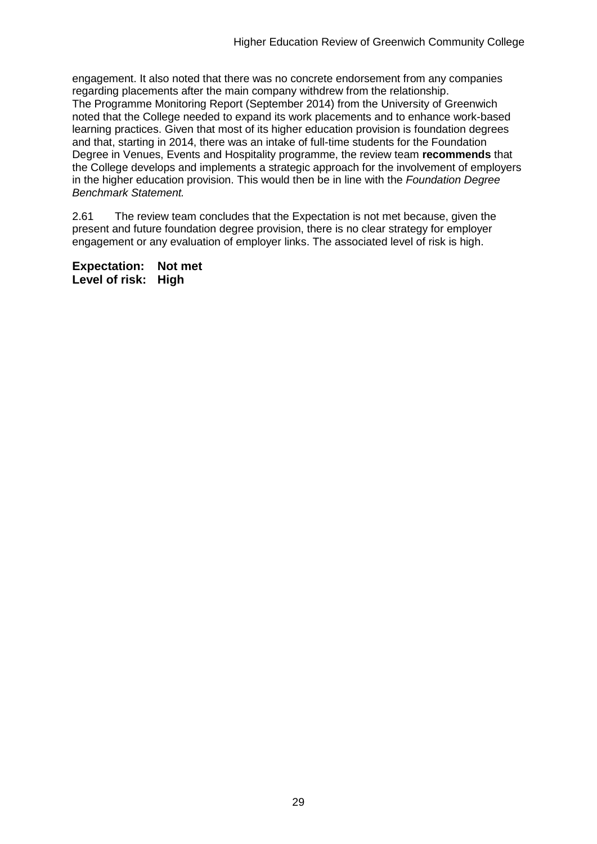engagement. It also noted that there was no concrete endorsement from any companies regarding placements after the main company withdrew from the relationship. The Programme Monitoring Report (September 2014) from the University of Greenwich noted that the College needed to expand its work placements and to enhance work-based learning practices. Given that most of its higher education provision is foundation degrees and that, starting in 2014, there was an intake of full-time students for the Foundation Degree in Venues, Events and Hospitality programme, the review team **recommends** that the College develops and implements a strategic approach for the involvement of employers in the higher education provision. This would then be in line with the *Foundation Degree Benchmark Statement.*

2.61 The review team concludes that the Expectation is not met because, given the present and future foundation degree provision, there is no clear strategy for employer engagement or any evaluation of employer links. The associated level of risk is high.

**Expectation: Not met Level of risk: High**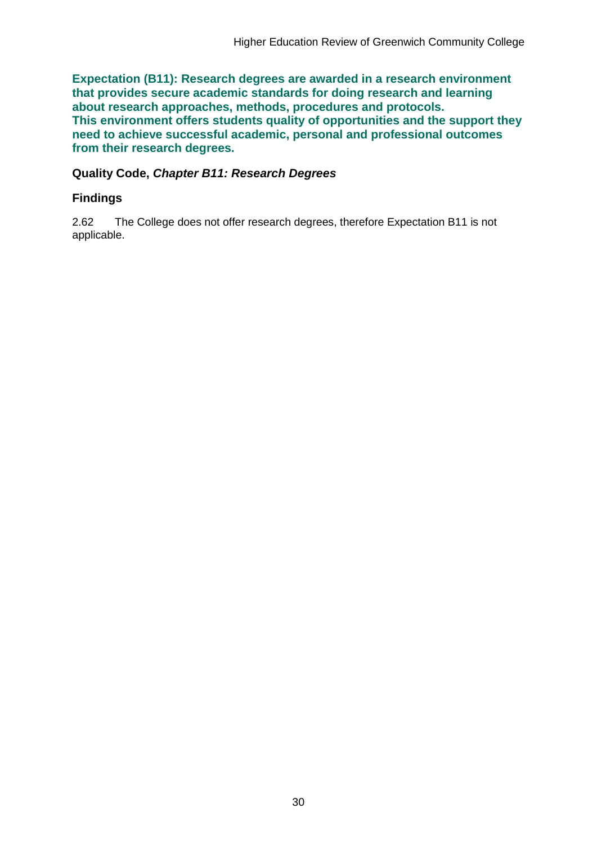**Expectation (B11): Research degrees are awarded in a research environment that provides secure academic standards for doing research and learning about research approaches, methods, procedures and protocols. This environment offers students quality of opportunities and the support they need to achieve successful academic, personal and professional outcomes from their research degrees.**

### **Quality Code,** *Chapter B11: Research Degrees*

### **Findings**

2.62 The College does not offer research degrees, therefore Expectation B11 is not applicable.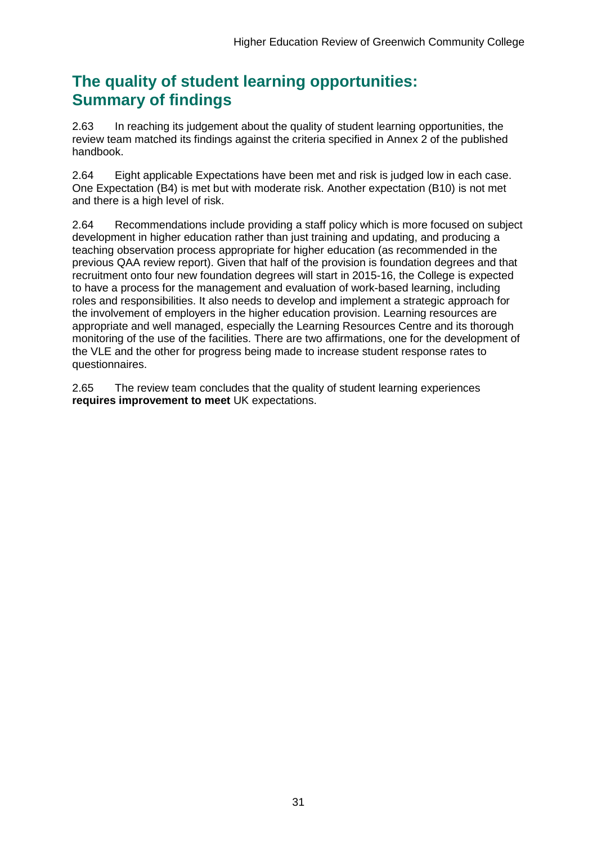## **The quality of student learning opportunities: Summary of findings**

2.63 In reaching its judgement about the quality of student learning opportunities, the review team matched its findings against the criteria specified in Annex 2 of the published handbook.

2.64 Eight applicable Expectations have been met and risk is judged low in each case. One Expectation (B4) is met but with moderate risk. Another expectation (B10) is not met and there is a high level of risk.

2.64 Recommendations include providing a staff policy which is more focused on subject development in higher education rather than just training and updating, and producing a teaching observation process appropriate for higher education (as recommended in the previous QAA review report). Given that half of the provision is foundation degrees and that recruitment onto four new foundation degrees will start in 2015-16, the College is expected to have a process for the management and evaluation of work-based learning, including roles and responsibilities. It also needs to develop and implement a strategic approach for the involvement of employers in the higher education provision. Learning resources are appropriate and well managed, especially the Learning Resources Centre and its thorough monitoring of the use of the facilities. There are two affirmations, one for the development of the VLE and the other for progress being made to increase student response rates to questionnaires.

2.65 The review team concludes that the quality of student learning experiences **requires improvement to meet** UK expectations.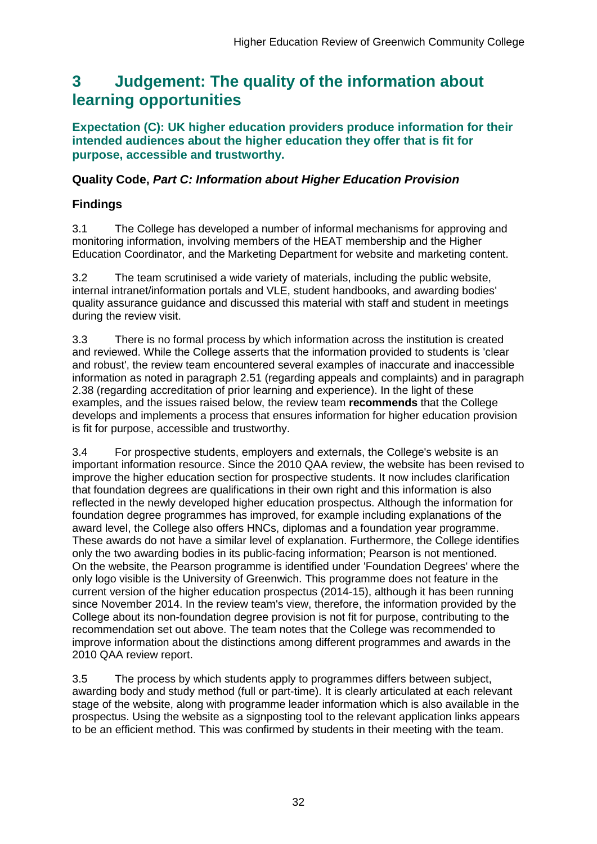## <span id="page-32-0"></span>**3 Judgement: The quality of the information about learning opportunities**

**Expectation (C): UK higher education providers produce information for their intended audiences about the higher education they offer that is fit for purpose, accessible and trustworthy.**

### **Quality Code,** *Part C: Information about Higher Education Provision*

## **Findings**

3.1 The College has developed a number of informal mechanisms for approving and monitoring information, involving members of the HEAT membership and the Higher Education Coordinator, and the Marketing Department for website and marketing content.

3.2 The team scrutinised a wide variety of materials, including the public website, internal intranet/information portals and VLE, student handbooks, and awarding bodies' quality assurance guidance and discussed this material with staff and student in meetings during the review visit.

3.3 There is no formal process by which information across the institution is created and reviewed. While the College asserts that the information provided to students is 'clear and robust', the review team encountered several examples of inaccurate and inaccessible information as noted in paragraph 2.51 (regarding appeals and complaints) and in paragraph 2.38 (regarding accreditation of prior learning and experience). In the light of these examples, and the issues raised below, the review team **recommends** that the College develops and implements a process that ensures information for higher education provision is fit for purpose, accessible and trustworthy.

3.4 For prospective students, employers and externals, the College's website is an important information resource. Since the 2010 QAA review, the website has been revised to improve the higher education section for prospective students. It now includes clarification that foundation degrees are qualifications in their own right and this information is also reflected in the newly developed higher education prospectus. Although the information for foundation degree programmes has improved, for example including explanations of the award level, the College also offers HNCs, diplomas and a foundation year programme. These awards do not have a similar level of explanation. Furthermore, the College identifies only the two awarding bodies in its public-facing information; Pearson is not mentioned. On the website, the Pearson programme is identified under 'Foundation Degrees' where the only logo visible is the University of Greenwich. This programme does not feature in the current version of the higher education prospectus (2014-15), although it has been running since November 2014. In the review team's view, therefore, the information provided by the College about its non-foundation degree provision is not fit for purpose, contributing to the recommendation set out above. The team notes that the College was recommended to improve information about the distinctions among different programmes and awards in the 2010 QAA review report.

3.5 The process by which students apply to programmes differs between subject, awarding body and study method (full or part-time). It is clearly articulated at each relevant stage of the website, along with programme leader information which is also available in the prospectus. Using the website as a signposting tool to the relevant application links appears to be an efficient method. This was confirmed by students in their meeting with the team.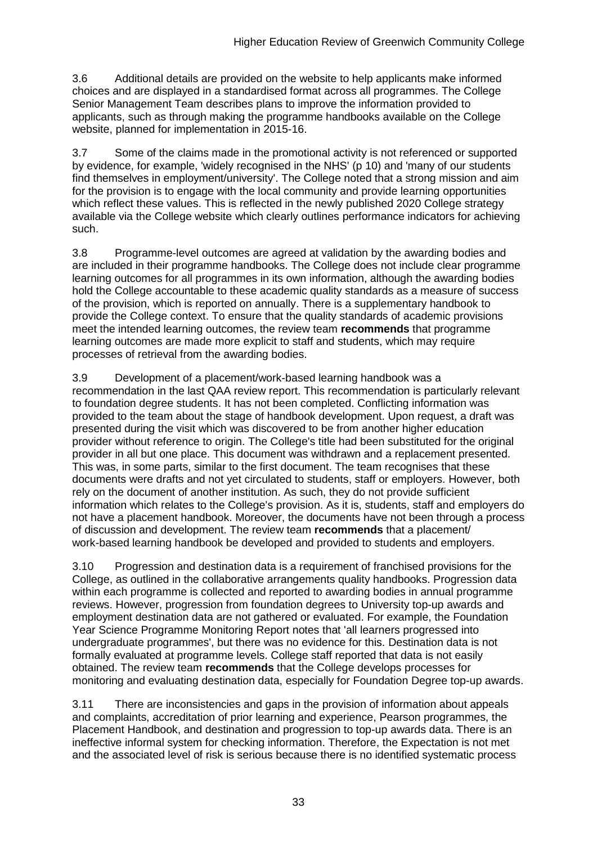3.6 Additional details are provided on the website to help applicants make informed choices and are displayed in a standardised format across all programmes. The College Senior Management Team describes plans to improve the information provided to applicants, such as through making the programme handbooks available on the College website, planned for implementation in 2015-16.

3.7 Some of the claims made in the promotional activity is not referenced or supported by evidence, for example, 'widely recognised in the NHS' (p 10) and 'many of our students find themselves in employment/university'. The College noted that a strong mission and aim for the provision is to engage with the local community and provide learning opportunities which reflect these values. This is reflected in the newly published 2020 College strategy available via the College website which clearly outlines performance indicators for achieving such.

3.8 Programme-level outcomes are agreed at validation by the awarding bodies and are included in their programme handbooks. The College does not include clear programme learning outcomes for all programmes in its own information, although the awarding bodies hold the College accountable to these academic quality standards as a measure of success of the provision, which is reported on annually. There is a supplementary handbook to provide the College context. To ensure that the quality standards of academic provisions meet the intended learning outcomes, the review team **recommends** that programme learning outcomes are made more explicit to staff and students, which may require processes of retrieval from the awarding bodies.

3.9 Development of a placement/work-based learning handbook was a recommendation in the last QAA review report. This recommendation is particularly relevant to foundation degree students. It has not been completed. Conflicting information was provided to the team about the stage of handbook development. Upon request, a draft was presented during the visit which was discovered to be from another higher education provider without reference to origin. The College's title had been substituted for the original provider in all but one place. This document was withdrawn and a replacement presented. This was, in some parts, similar to the first document. The team recognises that these documents were drafts and not yet circulated to students, staff or employers. However, both rely on the document of another institution. As such, they do not provide sufficient information which relates to the College's provision. As it is, students, staff and employers do not have a placement handbook. Moreover, the documents have not been through a process of discussion and development. The review team **recommends** that a placement/ work-based learning handbook be developed and provided to students and employers.

3.10 Progression and destination data is a requirement of franchised provisions for the College, as outlined in the collaborative arrangements quality handbooks. Progression data within each programme is collected and reported to awarding bodies in annual programme reviews. However, progression from foundation degrees to University top-up awards and employment destination data are not gathered or evaluated. For example, the Foundation Year Science Programme Monitoring Report notes that 'all learners progressed into undergraduate programmes', but there was no evidence for this. Destination data is not formally evaluated at programme levels. College staff reported that data is not easily obtained. The review team **recommends** that the College develops processes for monitoring and evaluating destination data, especially for Foundation Degree top-up awards.

3.11 There are inconsistencies and gaps in the provision of information about appeals and complaints, accreditation of prior learning and experience, Pearson programmes, the Placement Handbook, and destination and progression to top-up awards data. There is an ineffective informal system for checking information. Therefore, the Expectation is not met and the associated level of risk is serious because there is no identified systematic process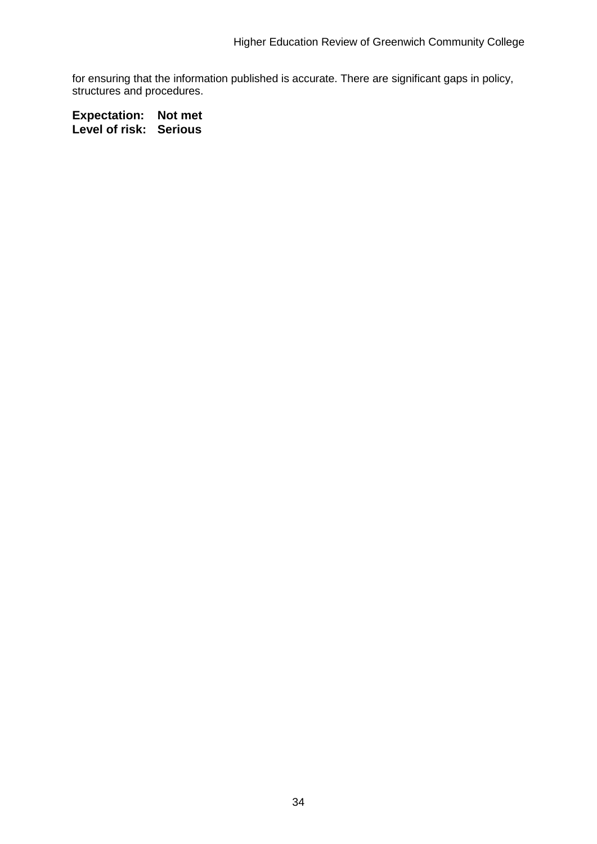for ensuring that the information published is accurate. There are significant gaps in policy, structures and procedures.

**Expectation: Not met Level of risk: Serious**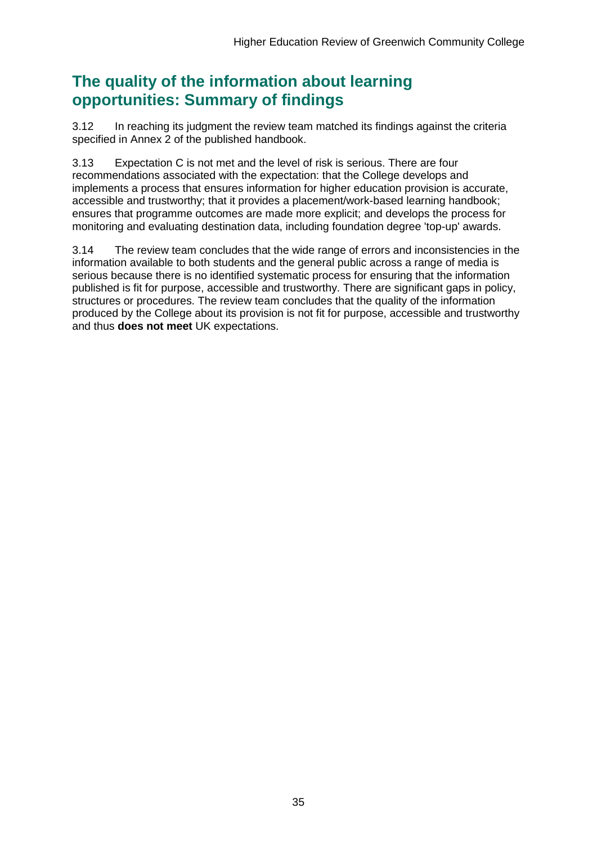## **The quality of the information about learning opportunities: Summary of findings**

3.12 In reaching its judgment the review team matched its findings against the criteria specified in Annex 2 of the published handbook.

3.13 Expectation C is not met and the level of risk is serious. There are four recommendations associated with the expectation: that the College develops and implements a process that ensures information for higher education provision is accurate, accessible and trustworthy; that it provides a placement/work-based learning handbook; ensures that programme outcomes are made more explicit; and develops the process for monitoring and evaluating destination data, including foundation degree 'top-up' awards.

3.14 The review team concludes that the wide range of errors and inconsistencies in the information available to both students and the general public across a range of media is serious because there is no identified systematic process for ensuring that the information published is fit for purpose, accessible and trustworthy. There are significant gaps in policy, structures or procedures. The review team concludes that the quality of the information produced by the College about its provision is not fit for purpose, accessible and trustworthy and thus **does not meet** UK expectations.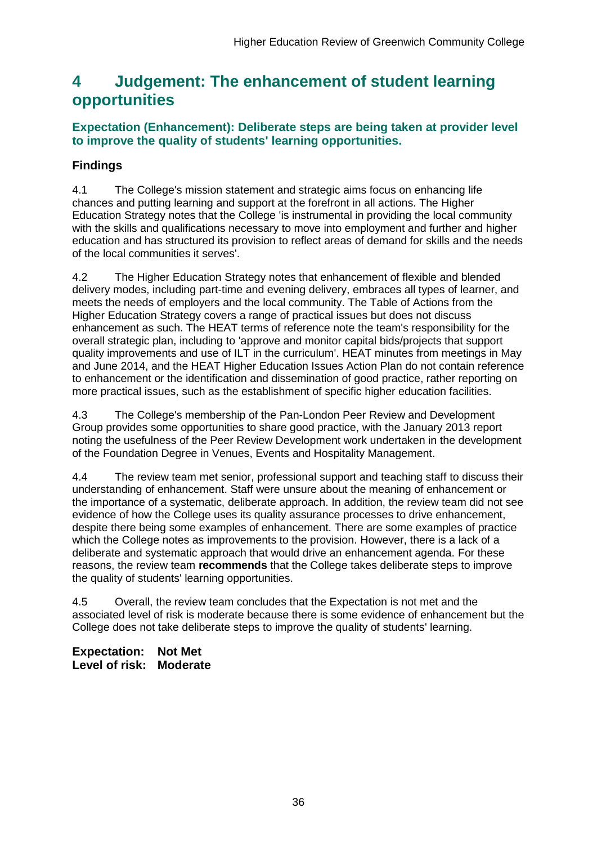## <span id="page-36-0"></span>**4 Judgement: The enhancement of student learning opportunities**

## **Expectation (Enhancement): Deliberate steps are being taken at provider level to improve the quality of students' learning opportunities.**

## **Findings**

4.1 The College's mission statement and strategic aims focus on enhancing life chances and putting learning and support at the forefront in all actions. The Higher Education Strategy notes that the College 'is instrumental in providing the local community with the skills and qualifications necessary to move into employment and further and higher education and has structured its provision to reflect areas of demand for skills and the needs of the local communities it serves'.

4.2 The Higher Education Strategy notes that enhancement of flexible and blended delivery modes, including part-time and evening delivery, embraces all types of learner, and meets the needs of employers and the local community. The Table of Actions from the Higher Education Strategy covers a range of practical issues but does not discuss enhancement as such. The HEAT terms of reference note the team's responsibility for the overall strategic plan, including to 'approve and monitor capital bids/projects that support quality improvements and use of ILT in the curriculum'. HEAT minutes from meetings in May and June 2014, and the HEAT Higher Education Issues Action Plan do not contain reference to enhancement or the identification and dissemination of good practice, rather reporting on more practical issues, such as the establishment of specific higher education facilities.

4.3 The College's membership of the Pan-London Peer Review and Development Group provides some opportunities to share good practice, with the January 2013 report noting the usefulness of the Peer Review Development work undertaken in the development of the Foundation Degree in Venues, Events and Hospitality Management.

4.4 The review team met senior, professional support and teaching staff to discuss their understanding of enhancement. Staff were unsure about the meaning of enhancement or the importance of a systematic, deliberate approach. In addition, the review team did not see evidence of how the College uses its quality assurance processes to drive enhancement, despite there being some examples of enhancement. There are some examples of practice which the College notes as improvements to the provision. However, there is a lack of a deliberate and systematic approach that would drive an enhancement agenda. For these reasons, the review team **recommends** that the College takes deliberate steps to improve the quality of students' learning opportunities.

4.5 Overall, the review team concludes that the Expectation is not met and the associated level of risk is moderate because there is some evidence of enhancement but the College does not take deliberate steps to improve the quality of students' learning.

**Expectation: Not Met Level of risk: Moderate**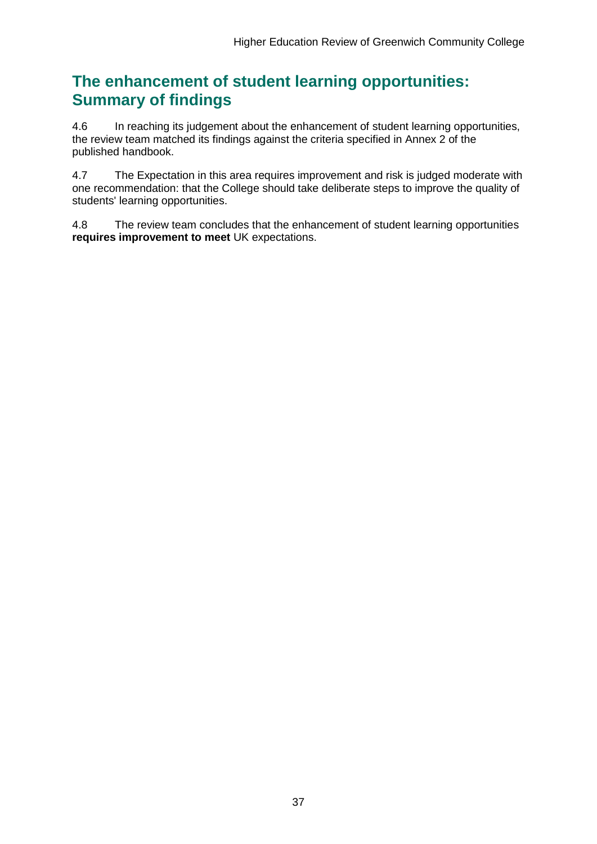## **The enhancement of student learning opportunities: Summary of findings**

4.6 In reaching its judgement about the enhancement of student learning opportunities, the review team matched its findings against the criteria specified in Annex 2 of the published handbook.

4.7 The Expectation in this area requires improvement and risk is judged moderate with one recommendation: that the College should take deliberate steps to improve the quality of students' learning opportunities.

4.8 The review team concludes that the enhancement of student learning opportunities **requires improvement to meet** UK expectations.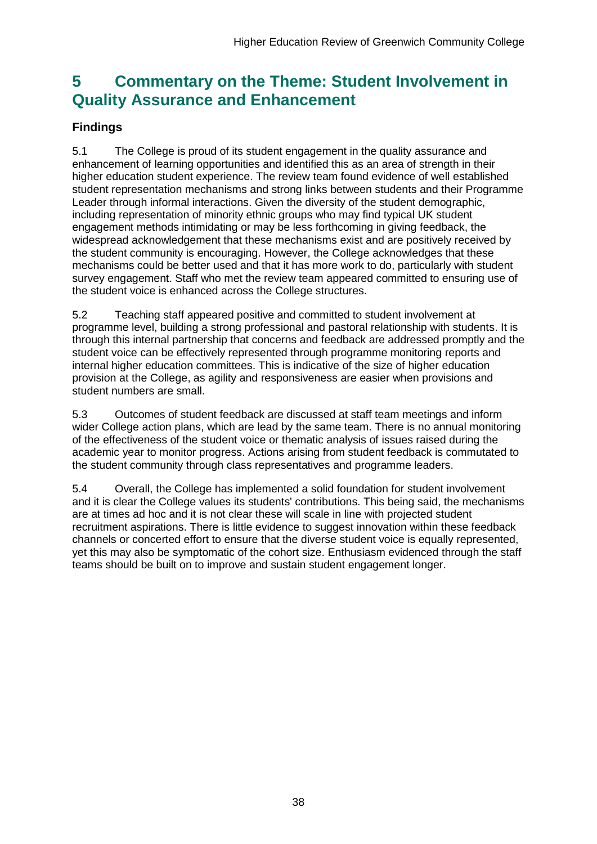## <span id="page-38-0"></span>**5 Commentary on the Theme: Student Involvement in Quality Assurance and Enhancement**

## **Findings**

5.1 The College is proud of its student engagement in the quality assurance and enhancement of learning opportunities and identified this as an area of strength in their higher education student experience. The review team found evidence of well established student representation mechanisms and strong links between students and their Programme Leader through informal interactions. Given the diversity of the student demographic, including representation of minority ethnic groups who may find typical UK student engagement methods intimidating or may be less forthcoming in giving feedback, the widespread acknowledgement that these mechanisms exist and are positively received by the student community is encouraging. However, the College acknowledges that these mechanisms could be better used and that it has more work to do, particularly with student survey engagement. Staff who met the review team appeared committed to ensuring use of the student voice is enhanced across the College structures.

5.2 Teaching staff appeared positive and committed to student involvement at programme level, building a strong professional and pastoral relationship with students. It is through this internal partnership that concerns and feedback are addressed promptly and the student voice can be effectively represented through programme monitoring reports and internal higher education committees. This is indicative of the size of higher education provision at the College, as agility and responsiveness are easier when provisions and student numbers are small.

5.3 Outcomes of student feedback are discussed at staff team meetings and inform wider College action plans, which are lead by the same team. There is no annual monitoring of the effectiveness of the student voice or thematic analysis of issues raised during the academic year to monitor progress. Actions arising from student feedback is commutated to the student community through class representatives and programme leaders.

<span id="page-38-1"></span>5.4 Overall, the College has implemented a solid foundation for student involvement and it is clear the College values its students' contributions. This being said, the mechanisms are at times ad hoc and it is not clear these will scale in line with projected student recruitment aspirations. There is little evidence to suggest innovation within these feedback channels or concerted effort to ensure that the diverse student voice is equally represented, yet this may also be symptomatic of the cohort size. Enthusiasm evidenced through the staff teams should be built on to improve and sustain student engagement longer.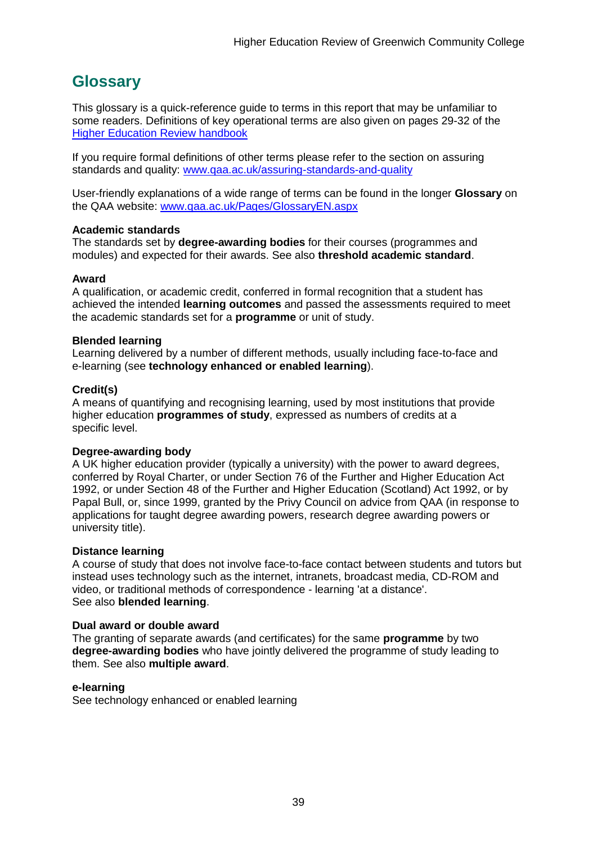## <span id="page-39-0"></span>**Glossary**

This glossary is a quick-reference guide to terms in this report that may be unfamiliar to some readers. Definitions of key operational terms are also given on pages 29-32 of the [Higher Education Review handbook](http://www.qaa.ac.uk/publications/information-and-guidance/publication?PubID=2672)

If you require formal definitions of other terms please refer to the section on assuring standards and quality: [www.qaa.ac.uk/assuring-standards-and-quality](http://www.qaa.ac.uk/assuring-standards-and-quality)

User-friendly explanations of a wide range of terms can be found in the longer **Glossary** on the QAA website: [www.qaa.ac.uk/Pages/GlossaryEN.aspx](http://www.qaa.ac.uk/Pages/GlossaryEN.aspx)

#### **Academic standards**

The standards set by **degree-awarding bodies** for their courses (programmes and modules) and expected for their awards. See also **threshold academic standard**.

#### **Award**

A qualification, or academic credit, conferred in formal recognition that a student has achieved the intended **learning outcomes** and passed the assessments required to meet the academic standards set for a **programme** or unit of study.

#### **Blended learning**

Learning delivered by a number of different methods, usually including face-to-face and e-learning (see **[technology enhanced or enabled learning](http://www.qaa.ac.uk/AboutUs/glossary/Pages/glossary-t.aspx#t1)**).

#### **Credit(s)**

A means of quantifying and recognising learning, used by most institutions that provide higher education **programmes of study**, expressed as numbers of credits at a specific level.

#### **Degree-awarding body**

A UK [higher education provider](http://newlive.qaa.ac.uk/AboutUs/glossary/Pages/glossary-h.aspx#h2.1) (typically a [university\)](http://newlive.qaa.ac.uk/AboutUs/glossary/Pages/glossary-u-z.aspx#u4) with the power to award degrees, conferred by Royal Charter, or under Section 76 of the Further and Higher Education Act 1992, or under Section 48 of the Further and Higher Education (Scotland) Act 1992, or by Papal Bull, or, since 1999, granted by the Privy Council on advice from QAA (in response to applications for [taught degree awarding powers, research degree awarding powers or](http://newlive.qaa.ac.uk/AboutUs/DAP/Pages/default.aspx)  [university title\)](http://newlive.qaa.ac.uk/AboutUs/DAP/Pages/default.aspx).

#### **Distance learning**

A course of study that does not involve face-to-face contact between students and tutors but instead uses technology such as the internet, intranets, broadcast media, CD-ROM and video, or traditional methods of correspondence - learning 'at a distance'. See also **blended learning**.

#### **Dual award or double award**

The granting of separate awards (and certificates) for the same **programme** by two **degree-awarding bodies** who have jointly delivered the programme of study leading to them. See also **multiple award**.

#### **e-learning**

See technology enhanced or enabled learning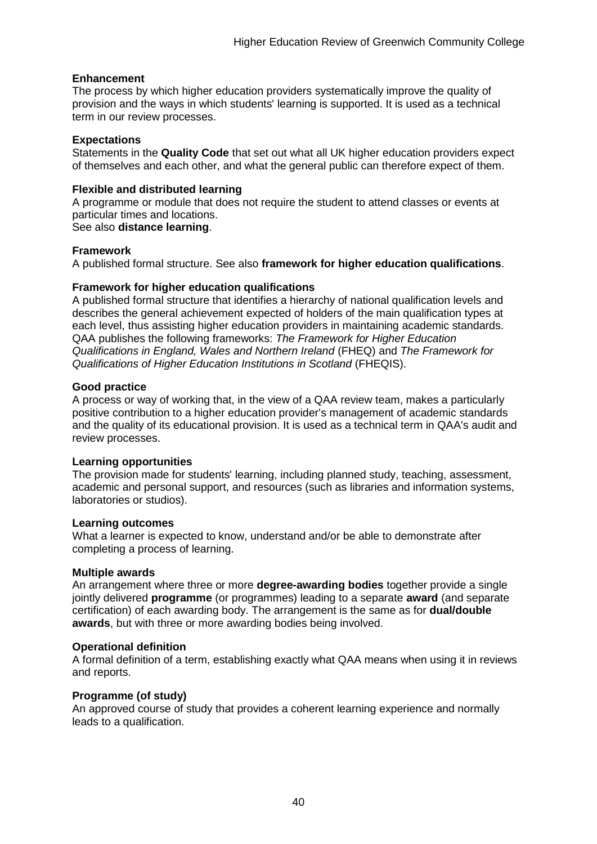#### **Enhancement**

The process by which [higher education providers](http://www.qaa.ac.uk/AboutUs/glossary/Pages/glossary-h.aspx#h2.1) systematically improve the quality of provision and the ways in which students' learning is supported. It is used as a technical term in our review processes.

#### **Expectations**

Statements in the **Quality Code** that set out what all UK [higher education providers](http://newlive.qaa.ac.uk/AboutUs/glossary/Pages/glossary-h.aspx#h2.1) expect of themselves and each other, and what the general public can therefore expect of them.

#### **Flexible and distributed learning**

A [programme](http://newlive.qaa.ac.uk/AboutUs/glossary/Pages/glossary-p.aspx#p12) or [module](http://newlive.qaa.ac.uk/AboutUs/glossary/Pages/glossary-m-o.aspx#m6) that does not require the student to attend classes or events at particular times and locations.

#### See also **distance learning**.

#### **Framework**

A published formal structure. See also **framework for higher education qualifications**.

#### **Framework for higher education qualifications**

A published formal structure that identifies a hierarchy of national qualification levels and describes the general achievement expected of holders of the main qualification types at each level, thus assisting higher education providers in maintaining academic standards. QAA publishes the following frameworks: *The Framework for Higher Education Qualifications in England, Wales and Northern Ireland* (FHEQ) and *The Framework for Qualifications of Higher Education Institutions in Scotland* (FHEQIS).

#### **Good practice**

A process or way of working that, in the view of a QAA review team, makes a particularly positive contribution to a higher education provider's management of academic standards and the quality of its educational provision. It is used as a technical term in QAA's audit and review processes.

#### **Learning opportunities**

The provision made for students' learning, including planned study, teaching, assessment, academic and personal support, and resources (such as libraries and information systems, laboratories or studios).

#### **Learning outcomes**

What a learner is expected to know, understand and/or be able to demonstrate after completing a process of learning.

#### **Multiple awards**

An arrangement where three or more **degree-awarding bodies** together provide a single jointly delivered **programme** (or programmes) leading to a separate **award** (and separate certification) of each awarding body. The arrangement is the same as for **dual/double awards**, but with three or more awarding bodies being involved.

#### **Operational definition**

A formal definition of a term, establishing exactly what QAA means when using it in reviews and reports.

#### **Programme (of study)**

An approved course of study that provides a coherent learning experience and normally leads to a qualification.